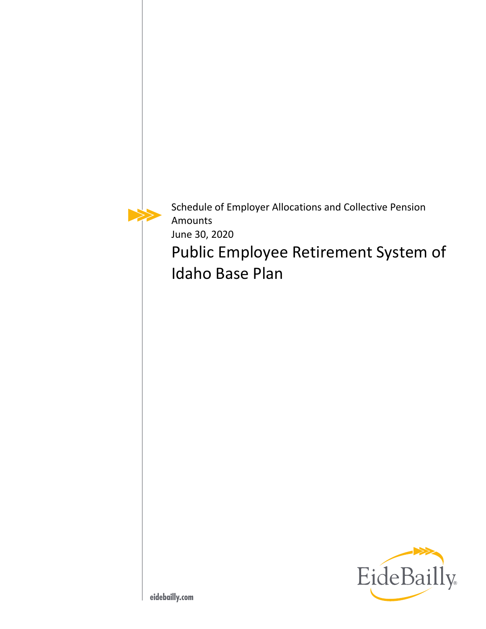Schedule of Employer Allocations and Collective Pension Amounts June 30, 2020

Public Employee Retirement System of Idaho Base Plan

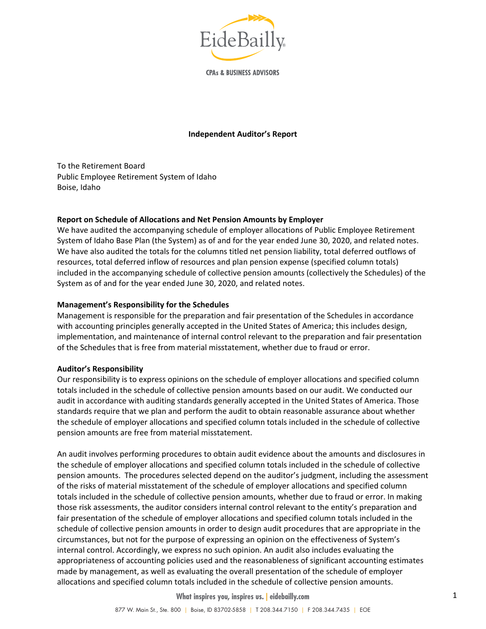

**CPAs & BUSINESS ADVISORS** 

#### **Independent Auditor's Report**

To the Retirement Board Public Employee Retirement System of Idaho Boise, Idaho

### **Report on Schedule of Allocations and Net Pension Amounts by Employer**

We have audited the accompanying schedule of employer allocations of Public Employee Retirement System of Idaho Base Plan (the System) as of and for the year ended June 30, 2020, and related notes. We have also audited the totals for the columns titled net pension liability, total deferred outflows of resources, total deferred inflow of resources and plan pension expense (specified column totals) included in the accompanying schedule of collective pension amounts (collectively the Schedules) of the System as of and for the year ended June 30, 2020, and related notes.

#### **Management's Responsibility for the Schedules**

Management is responsible for the preparation and fair presentation of the Schedules in accordance with accounting principles generally accepted in the United States of America; this includes design, implementation, and maintenance of internal control relevant to the preparation and fair presentation of the Schedules that is free from material misstatement, whether due to fraud or error.

#### **Auditor's Responsibility**

Our responsibility is to express opinions on the schedule of employer allocations and specified column totals included in the schedule of collective pension amounts based on our audit. We conducted our audit in accordance with auditing standards generally accepted in the United States of America. Those standards require that we plan and perform the audit to obtain reasonable assurance about whether the schedule of employer allocations and specified column totals included in the schedule of collective pension amounts are free from material misstatement.

An audit involves performing procedures to obtain audit evidence about the amounts and disclosures in the schedule of employer allocations and specified column totals included in the schedule of collective pension amounts. The procedures selected depend on the auditor's judgment, including the assessment of the risks of material misstatement of the schedule of employer allocations and specified column totals included in the schedule of collective pension amounts, whether due to fraud or error. In making those risk assessments, the auditor considers internal control relevant to the entity's preparation and fair presentation of the schedule of employer allocations and specified column totals included in the schedule of collective pension amounts in order to design audit procedures that are appropriate in the circumstances, but not for the purpose of expressing an opinion on the effectiveness of System's internal control. Accordingly, we express no such opinion. An audit also includes evaluating the appropriateness of accounting policies used and the reasonableness of significant accounting estimates made by management, as well as evaluating the overall presentation of the schedule of employer allocations and specified column totals included in the schedule of collective pension amounts.

**What inspires you, inspires us. | eidebailly.com**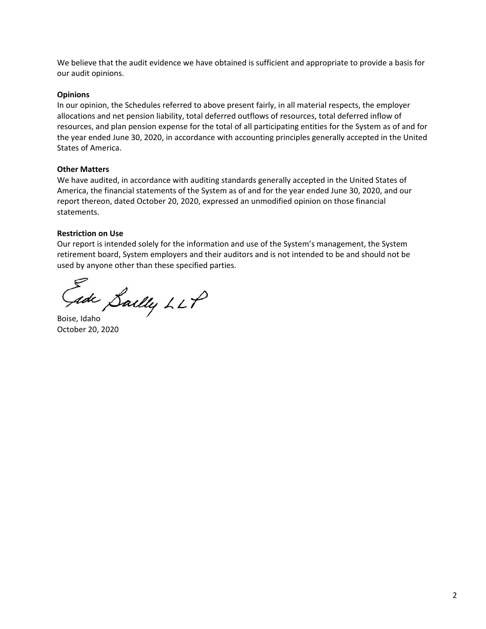We believe that the audit evidence we have obtained is sufficient and appropriate to provide a basis for our audit opinions.

### **Opinions**

In our opinion, the Schedules referred to above present fairly, in all material respects, the employer allocations and net pension liability, total deferred outflows of resources, total deferred inflow of resources, and plan pension expense for the total of all participating entities for the System as of and for the year ended June 30, 2020, in accordance with accounting principles generally accepted in the United States of America.

### **Other Matters**

We have audited, in accordance with auditing standards generally accepted in the United States of America, the financial statements of the System as of and for the year ended June 30, 2020, and our report thereon, dated October 20, 2020, expressed an unmodified opinion on those financial statements.

# **Restriction on Use**

Our report is intended solely for the information and use of the System's management, the System retirement board, System employers and their auditors and is not intended to be and should not be used by anyone other than these specified parties.

Gade Sailly LLP

October 20, 2020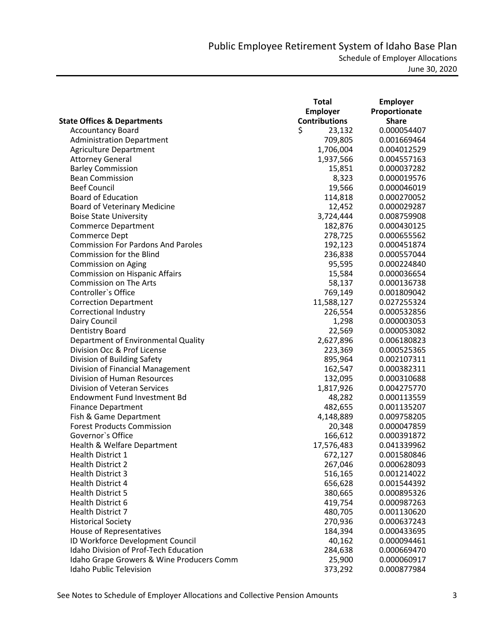|                                           | <b>Total</b>         | <b>Employer</b> |
|-------------------------------------------|----------------------|-----------------|
|                                           | <b>Employer</b>      | Proportionate   |
| <b>State Offices &amp; Departments</b>    | <b>Contributions</b> | <b>Share</b>    |
| <b>Accountancy Board</b>                  | \$<br>23,132         | 0.000054407     |
| <b>Administration Department</b>          | 709,805              | 0.001669464     |
| <b>Agriculture Department</b>             | 1,706,004            | 0.004012529     |
| <b>Attorney General</b>                   | 1,937,566            | 0.004557163     |
| <b>Barley Commission</b>                  | 15,851               | 0.000037282     |
| <b>Bean Commission</b>                    | 8,323                | 0.000019576     |
| <b>Beef Council</b>                       | 19,566               | 0.000046019     |
| <b>Board of Education</b>                 | 114,818              | 0.000270052     |
| <b>Board of Veterinary Medicine</b>       | 12,452               | 0.000029287     |
| <b>Boise State University</b>             | 3,724,444            | 0.008759908     |
| <b>Commerce Department</b>                | 182,876              | 0.000430125     |
| <b>Commerce Dept</b>                      | 278,725              | 0.000655562     |
| <b>Commission For Pardons And Paroles</b> | 192,123              | 0.000451874     |
| <b>Commission for the Blind</b>           | 236,838              | 0.000557044     |
| Commission on Aging                       | 95,595               | 0.000224840     |
| <b>Commission on Hispanic Affairs</b>     | 15,584               | 0.000036654     |
| <b>Commission on The Arts</b>             | 58,137               | 0.000136738     |
| Controller's Office                       | 769,149              | 0.001809042     |
| <b>Correction Department</b>              | 11,588,127           | 0.027255324     |
| Correctional Industry                     | 226,554              | 0.000532856     |
| Dairy Council                             | 1,298                | 0.000003053     |
| Dentistry Board                           | 22,569               | 0.000053082     |
| Department of Environmental Quality       | 2,627,896            | 0.006180823     |
| Division Occ & Prof License               | 223,369              | 0.000525365     |
| Division of Building Safety               | 895,964              | 0.002107311     |
| Division of Financial Management          | 162,547              | 0.000382311     |
| Division of Human Resources               | 132,095              | 0.000310688     |
| Division of Veteran Services              | 1,817,926            | 0.004275770     |
| Endowment Fund Investment Bd              | 48,282               | 0.000113559     |
| <b>Finance Department</b>                 | 482,655              | 0.001135207     |
| Fish & Game Department                    | 4,148,889            | 0.009758205     |
| <b>Forest Products Commission</b>         | 20,348               | 0.000047859     |
| Governor's Office                         | 166,612              | 0.000391872     |
| Health & Welfare Department               | 17,576,483           | 0.041339962     |
| Health District 1                         | 672,127              | 0.001580846     |
| <b>Health District 2</b>                  | 267,046              | 0.000628093     |
| <b>Health District 3</b>                  | 516,165              | 0.001214022     |
| <b>Health District 4</b>                  | 656,628              | 0.001544392     |
| <b>Health District 5</b>                  | 380,665              | 0.000895326     |
| Health District 6                         | 419,754              | 0.000987263     |
| <b>Health District 7</b>                  | 480,705              | 0.001130620     |
| <b>Historical Society</b>                 | 270,936              | 0.000637243     |
| House of Representatives                  | 184,394              | 0.000433695     |
| ID Workforce Development Council          | 40,162               | 0.000094461     |
| Idaho Division of Prof-Tech Education     | 284,638              | 0.000669470     |
| Idaho Grape Growers & Wine Producers Comm | 25,900               | 0.000060917     |
| <b>Idaho Public Television</b>            | 373,292              | 0.000877984     |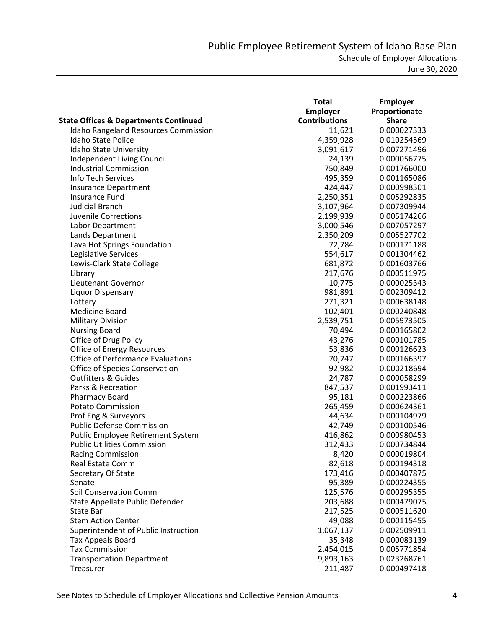|                                                  | <b>Total</b>         | <b>Employer</b> |
|--------------------------------------------------|----------------------|-----------------|
|                                                  | <b>Employer</b>      | Proportionate   |
| <b>State Offices &amp; Departments Continued</b> | <b>Contributions</b> | <b>Share</b>    |
| <b>Idaho Rangeland Resources Commission</b>      | 11,621               | 0.000027333     |
| <b>Idaho State Police</b>                        | 4,359,928            | 0.010254569     |
| Idaho State University                           | 3,091,617            | 0.007271496     |
| Independent Living Council                       | 24,139               | 0.000056775     |
| <b>Industrial Commission</b>                     | 750,849              | 0.001766000     |
| <b>Info Tech Services</b>                        | 495,359              | 0.001165086     |
| <b>Insurance Department</b>                      | 424,447              | 0.000998301     |
| <b>Insurance Fund</b>                            | 2,250,351            | 0.005292835     |
| <b>Judicial Branch</b>                           | 3,107,964            | 0.007309944     |
| Juvenile Corrections                             | 2,199,939            | 0.005174266     |
| Labor Department                                 | 3,000,546            | 0.007057297     |
| Lands Department                                 | 2,350,209            | 0.005527702     |
| Lava Hot Springs Foundation                      | 72,784               | 0.000171188     |
| Legislative Services                             | 554,617              | 0.001304462     |
| Lewis-Clark State College                        | 681,872              | 0.001603766     |
| Library                                          | 217,676              | 0.000511975     |
| Lieutenant Governor                              | 10,775               | 0.000025343     |
| Liquor Dispensary                                | 981,891              | 0.002309412     |
| Lottery                                          | 271,321              | 0.000638148     |
| Medicine Board                                   | 102,401              | 0.000240848     |
| <b>Military Division</b>                         | 2,539,751            | 0.005973505     |
| <b>Nursing Board</b>                             | 70,494               | 0.000165802     |
| Office of Drug Policy                            | 43,276               | 0.000101785     |
| Office of Energy Resources                       | 53,836               | 0.000126623     |
| <b>Office of Performance Evaluations</b>         | 70,747               | 0.000166397     |
| Office of Species Conservation                   | 92,982               | 0.000218694     |
| <b>Outfitters &amp; Guides</b>                   | 24,787               | 0.000058299     |
| Parks & Recreation                               | 847,537              | 0.001993411     |
| <b>Pharmacy Board</b>                            | 95,181               | 0.000223866     |
| <b>Potato Commission</b>                         | 265,459              | 0.000624361     |
| Prof Eng & Surveyors                             | 44,634               | 0.000104979     |
| <b>Public Defense Commission</b>                 | 42,749               | 0.000100546     |
| Public Employee Retirement System                | 416,862              | 0.000980453     |
| <b>Public Utilities Commission</b>               | 312,433              | 0.000734844     |
| <b>Racing Commission</b>                         | 8,420                | 0.000019804     |
| Real Estate Comm                                 | 82,618               | 0.000194318     |
| Secretary Of State                               | 173,416              | 0.000407875     |
| Senate                                           | 95,389               | 0.000224355     |
| Soil Conservation Comm                           | 125,576              | 0.000295355     |
| State Appellate Public Defender                  | 203,688              | 0.000479075     |
| State Bar                                        | 217,525              | 0.000511620     |
| <b>Stem Action Center</b>                        | 49,088               | 0.000115455     |
| Superintendent of Public Instruction             | 1,067,137            | 0.002509911     |
| Tax Appeals Board                                | 35,348               | 0.000083139     |
| <b>Tax Commission</b>                            | 2,454,015            | 0.005771854     |
| <b>Transportation Department</b>                 | 9,893,163            | 0.023268761     |
| Treasurer                                        | 211,487              | 0.000497418     |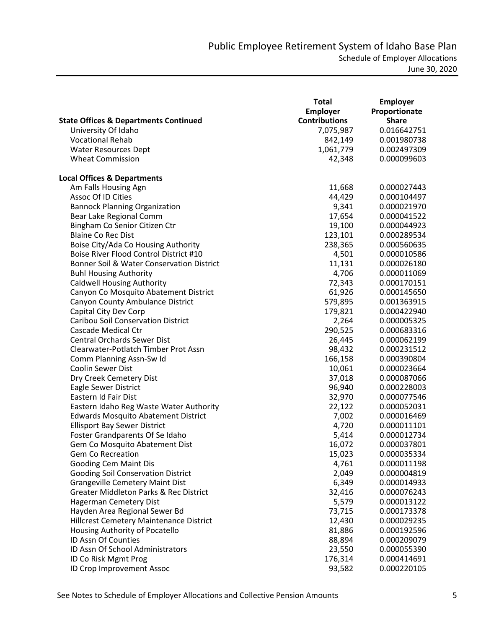|                                                   | <b>Total</b>         | <b>Employer</b> |
|---------------------------------------------------|----------------------|-----------------|
|                                                   | <b>Employer</b>      | Proportionate   |
| <b>State Offices &amp; Departments Continued</b>  | <b>Contributions</b> | <b>Share</b>    |
| University Of Idaho                               | 7,075,987            | 0.016642751     |
| <b>Vocational Rehab</b>                           | 842,149              | 0.001980738     |
| <b>Water Resources Dept</b>                       | 1,061,779            | 0.002497309     |
| <b>Wheat Commission</b>                           | 42,348               | 0.000099603     |
|                                                   |                      |                 |
| <b>Local Offices &amp; Departments</b>            |                      |                 |
| Am Falls Housing Agn                              | 11,668               | 0.000027443     |
| Assoc Of ID Cities                                | 44,429               | 0.000104497     |
| <b>Bannock Planning Organization</b>              | 9,341                | 0.000021970     |
| Bear Lake Regional Comm                           | 17,654               | 0.000041522     |
| Bingham Co Senior Citizen Ctr                     | 19,100               | 0.000044923     |
| <b>Blaine Co Rec Dist</b>                         | 123,101              | 0.000289534     |
| Boise City/Ada Co Housing Authority               | 238,365              | 0.000560635     |
| Boise River Flood Control District #10            | 4,501                | 0.000010586     |
| Bonner Soil & Water Conservation District         | 11,131               | 0.000026180     |
| <b>Buhl Housing Authority</b>                     | 4,706                | 0.000011069     |
| <b>Caldwell Housing Authority</b>                 | 72,343               | 0.000170151     |
| Canyon Co Mosquito Abatement District             | 61,926               | 0.000145650     |
| Canyon County Ambulance District                  | 579,895              | 0.001363915     |
| Capital City Dev Corp                             | 179,821              | 0.000422940     |
| <b>Caribou Soil Conservation District</b>         | 2,264                | 0.000005325     |
| Cascade Medical Ctr                               | 290,525              | 0.000683316     |
| <b>Central Orchards Sewer Dist</b>                | 26,445               | 0.000062199     |
| Clearwater-Potlatch Timber Prot Assn              | 98,432               | 0.000231512     |
| Comm Planning Assn-Sw Id                          | 166,158              | 0.000390804     |
| <b>Coolin Sewer Dist</b>                          | 10,061               | 0.000023664     |
| Dry Creek Cemetery Dist                           | 37,018               | 0.000087066     |
| Eagle Sewer District                              | 96,940               | 0.000228003     |
| Eastern Id Fair Dist                              | 32,970               | 0.000077546     |
| Eastern Idaho Reg Waste Water Authority           | 22,122               | 0.000052031     |
| <b>Edwards Mosquito Abatement District</b>        | 7,002                | 0.000016469     |
| <b>Ellisport Bay Sewer District</b>               | 4,720                | 0.000011101     |
| Foster Grandparents Of Se Idaho                   | 5,414                | 0.000012734     |
| Gem Co Mosquito Abatement Dist                    | 16,072               | 0.000037801     |
| Gem Co Recreation                                 | 15,023               | 0.000035334     |
| Gooding Cem Maint Dis                             | 4,761                | 0.000011198     |
| <b>Gooding Soil Conservation District</b>         | 2,049                | 0.000004819     |
| <b>Grangeville Cemetery Maint Dist</b>            | 6,349                | 0.000014933     |
| <b>Greater Middleton Parks &amp; Rec District</b> | 32,416               | 0.000076243     |
| <b>Hagerman Cemetery Dist</b>                     | 5,579                | 0.000013122     |
| Hayden Area Regional Sewer Bd                     | 73,715               | 0.000173378     |
| Hillcrest Cemetery Maintenance District           | 12,430               | 0.000029235     |
| Housing Authority of Pocatello                    | 81,886               | 0.000192596     |
| ID Assn Of Counties                               | 88,894               | 0.000209079     |
| ID Assn Of School Administrators                  | 23,550               | 0.000055390     |
| ID Co Risk Mgmt Prog                              | 176,314              | 0.000414691     |
| ID Crop Improvement Assoc                         | 93,582               | 0.000220105     |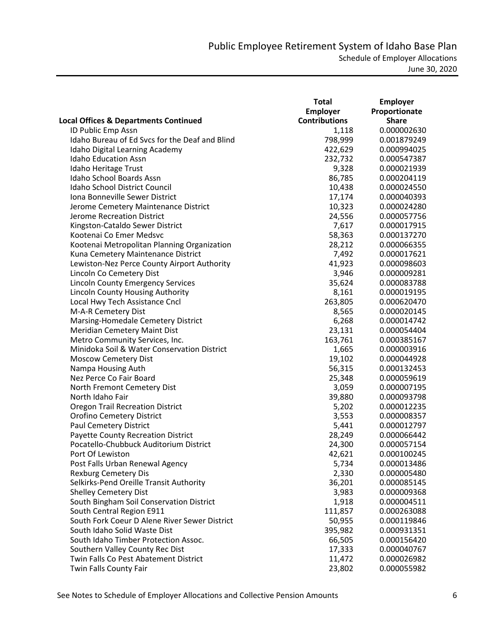|                                                  | <b>Total</b>         | <b>Employer</b> |
|--------------------------------------------------|----------------------|-----------------|
|                                                  | Employer             | Proportionate   |
| <b>Local Offices &amp; Departments Continued</b> | <b>Contributions</b> | <b>Share</b>    |
| ID Public Emp Assn                               | 1,118                | 0.000002630     |
| Idaho Bureau of Ed Svcs for the Deaf and Blind   | 798,999              | 0.001879249     |
| Idaho Digital Learning Academy                   | 422,629              | 0.000994025     |
| <b>Idaho Education Assn</b>                      | 232,732              | 0.000547387     |
| Idaho Heritage Trust                             | 9,328                | 0.000021939     |
| Idaho School Boards Assn                         | 86,785               | 0.000204119     |
| Idaho School District Council                    | 10,438               | 0.000024550     |
| Iona Bonneville Sewer District                   | 17,174               | 0.000040393     |
| Jerome Cemetery Maintenance District             | 10,323               | 0.000024280     |
| <b>Jerome Recreation District</b>                | 24,556               | 0.000057756     |
| Kingston-Cataldo Sewer District                  | 7,617                | 0.000017915     |
| Kootenai Co Emer Medsvc                          | 58,363               | 0.000137270     |
| Kootenai Metropolitan Planning Organization      | 28,212               | 0.000066355     |
| Kuna Cemetery Maintenance District               | 7,492                | 0.000017621     |
| Lewiston-Nez Perce County Airport Authority      | 41,923               | 0.000098603     |
| Lincoln Co Cemetery Dist                         | 3,946                | 0.000009281     |
| <b>Lincoln County Emergency Services</b>         | 35,624               | 0.000083788     |
| Lincoln County Housing Authority                 | 8,161                | 0.000019195     |
| Local Hwy Tech Assistance Cncl                   | 263,805              | 0.000620470     |
| M-A-R Cemetery Dist                              | 8,565                | 0.000020145     |
| Marsing-Homedale Cemetery District               | 6,268                | 0.000014742     |
| <b>Meridian Cemetery Maint Dist</b>              | 23,131               | 0.000054404     |
| Metro Community Services, Inc.                   | 163,761              | 0.000385167     |
| Minidoka Soil & Water Conservation District      | 1,665                | 0.000003916     |
| <b>Moscow Cemetery Dist</b>                      | 19,102               | 0.000044928     |
| Nampa Housing Auth                               | 56,315               | 0.000132453     |
| Nez Perce Co Fair Board                          | 25,348               | 0.000059619     |
| North Fremont Cemetery Dist                      | 3,059                | 0.000007195     |
| North Idaho Fair                                 | 39,880               | 0.000093798     |
| <b>Oregon Trail Recreation District</b>          | 5,202                | 0.000012235     |
| <b>Orofino Cemetery District</b>                 | 3,553                | 0.000008357     |
| Paul Cemetery District                           | 5,441                | 0.000012797     |
| <b>Payette County Recreation District</b>        | 28,249               | 0.000066442     |
| Pocatello-Chubbuck Auditorium District           | 24,300               | 0.000057154     |
| Port Of Lewiston                                 | 42,621               | 0.000100245     |
| Post Falls Urban Renewal Agency                  | 5,734                | 0.000013486     |
| <b>Rexburg Cemetery Dis</b>                      | 2,330                | 0.000005480     |
| Selkirks-Pend Oreille Transit Authority          | 36,201               | 0.000085145     |
| <b>Shelley Cemetery Dist</b>                     | 3,983                | 0.000009368     |
| South Bingham Soil Conservation District         | 1,918                | 0.000004511     |
| South Central Region E911                        | 111,857              | 0.000263088     |
| South Fork Coeur D Alene River Sewer District    | 50,955               | 0.000119846     |
| South Idaho Solid Waste Dist                     | 395,982              | 0.000931351     |
| South Idaho Timber Protection Assoc.             | 66,505               | 0.000156420     |
| Southern Valley County Rec Dist                  | 17,333               | 0.000040767     |
| Twin Falls Co Pest Abatement District            | 11,472               | 0.000026982     |
| Twin Falls County Fair                           | 23,802               | 0.000055982     |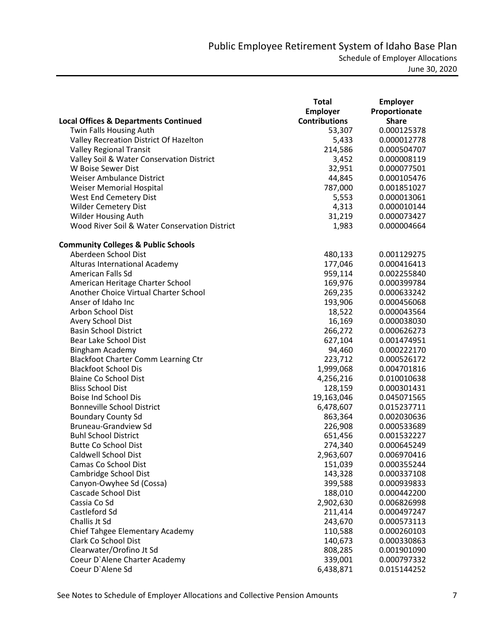|                                                  | <b>Total</b>         | <b>Employer</b> |
|--------------------------------------------------|----------------------|-----------------|
|                                                  | <b>Employer</b>      | Proportionate   |
| <b>Local Offices &amp; Departments Continued</b> | <b>Contributions</b> | <b>Share</b>    |
| Twin Falls Housing Auth                          | 53,307               | 0.000125378     |
| Valley Recreation District Of Hazelton           | 5,433                | 0.000012778     |
| <b>Valley Regional Transit</b>                   | 214,586              | 0.000504707     |
| Valley Soil & Water Conservation District        | 3,452                | 0.000008119     |
| W Boise Sewer Dist                               | 32,951               | 0.000077501     |
| Weiser Ambulance District                        | 44,845               | 0.000105476     |
| Weiser Memorial Hospital                         | 787,000              | 0.001851027     |
| West End Cemetery Dist                           | 5,553                | 0.000013061     |
| <b>Wilder Cemetery Dist</b>                      | 4,313                | 0.000010144     |
| Wilder Housing Auth                              | 31,219               | 0.000073427     |
| Wood River Soil & Water Conservation District    | 1,983                | 0.000004664     |
| <b>Community Colleges &amp; Public Schools</b>   |                      |                 |
| Aberdeen School Dist                             | 480,133              | 0.001129275     |
| Alturas International Academy                    | 177,046              | 0.000416413     |
| American Falls Sd                                | 959,114              | 0.002255840     |
| American Heritage Charter School                 | 169,976              | 0.000399784     |
| Another Choice Virtual Charter School            | 269,235              | 0.000633242     |
| Anser of Idaho Inc                               | 193,906              | 0.000456068     |
| Arbon School Dist                                | 18,522               | 0.000043564     |
| Avery School Dist                                | 16,169               | 0.000038030     |
| <b>Basin School District</b>                     | 266,272              | 0.000626273     |
| Bear Lake School Dist                            | 627,104              | 0.001474951     |
| Bingham Academy                                  | 94,460               | 0.000222170     |
| <b>Blackfoot Charter Comm Learning Ctr</b>       | 223,712              | 0.000526172     |
| <b>Blackfoot School Dis</b>                      | 1,999,068            | 0.004701816     |
| <b>Blaine Co School Dist</b>                     | 4,256,216            | 0.010010638     |
| <b>Bliss School Dist</b>                         | 128,159              | 0.000301431     |
| <b>Boise Ind School Dis</b>                      | 19,163,046           | 0.045071565     |
| <b>Bonneville School District</b>                | 6,478,607            | 0.015237711     |
| <b>Boundary County Sd</b>                        | 863,364              | 0.002030636     |
| <b>Bruneau-Grandview Sd</b>                      | 226,908              | 0.000533689     |
| <b>Buhl School District</b>                      | 651,456              | 0.001532227     |
| <b>Butte Co School Dist</b>                      | 274,340              | 0.000645249     |
| Caldwell School Dist                             | 2,963,607            | 0.006970416     |
| Camas Co School Dist                             | 151,039              | 0.000355244     |
| Cambridge School Dist                            | 143,328              | 0.000337108     |
| Canyon-Owyhee Sd (Cossa)                         | 399,588              | 0.000939833     |
| Cascade School Dist                              | 188,010              | 0.000442200     |
| Cassia Co Sd                                     | 2,902,630            | 0.006826998     |
| Castleford Sd                                    | 211,414              | 0.000497247     |
| Challis Jt Sd                                    | 243,670              | 0.000573113     |
| Chief Tahgee Elementary Academy                  | 110,588              | 0.000260103     |
| Clark Co School Dist                             | 140,673              | 0.000330863     |
| Clearwater/Orofino Jt Sd                         | 808,285              | 0.001901090     |
| Coeur D'Alene Charter Academy                    | 339,001              | 0.000797332     |
| Coeur D'Alene Sd                                 | 6,438,871            | 0.015144252     |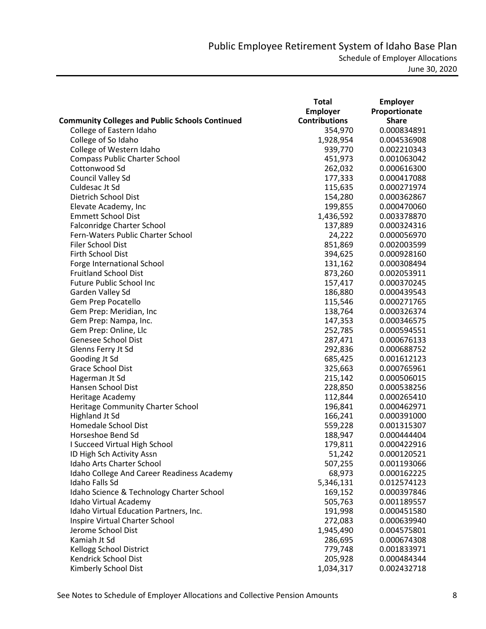|                                                        | <b>Total</b>         | <b>Employer</b> |
|--------------------------------------------------------|----------------------|-----------------|
|                                                        | <b>Employer</b>      | Proportionate   |
| <b>Community Colleges and Public Schools Continued</b> | <b>Contributions</b> | <b>Share</b>    |
| College of Eastern Idaho                               | 354,970              | 0.000834891     |
| College of So Idaho                                    | 1,928,954            | 0.004536908     |
| College of Western Idaho                               | 939,770              | 0.002210343     |
| <b>Compass Public Charter School</b>                   | 451,973              | 0.001063042     |
| Cottonwood Sd                                          | 262,032              | 0.000616300     |
| Council Valley Sd                                      | 177,333              | 0.000417088     |
| Culdesac Jt Sd                                         | 115,635              | 0.000271974     |
| Dietrich School Dist                                   | 154,280              | 0.000362867     |
| Elevate Academy, Inc                                   | 199,855              | 0.000470060     |
| <b>Emmett School Dist</b>                              | 1,436,592            | 0.003378870     |
| Falconridge Charter School                             | 137,889              | 0.000324316     |
| Fern-Waters Public Charter School                      | 24,222               | 0.000056970     |
| Filer School Dist                                      | 851,869              | 0.002003599     |
| Firth School Dist                                      | 394,625              | 0.000928160     |
| Forge International School                             | 131,162              | 0.000308494     |
| <b>Fruitland School Dist</b>                           | 873,260              | 0.002053911     |
| <b>Future Public School Inc</b>                        | 157,417              | 0.000370245     |
| Garden Valley Sd                                       | 186,880              | 0.000439543     |
| Gem Prep Pocatello                                     | 115,546              | 0.000271765     |
| Gem Prep: Meridian, Inc                                | 138,764              | 0.000326374     |
| Gem Prep: Nampa, Inc.                                  | 147,353              | 0.000346575     |
| Gem Prep: Online, Llc                                  | 252,785              | 0.000594551     |
| Genesee School Dist                                    | 287,471              | 0.000676133     |
| Glenns Ferry Jt Sd                                     | 292,836              | 0.000688752     |
| Gooding Jt Sd                                          | 685,425              | 0.001612123     |
| Grace School Dist                                      | 325,663              | 0.000765961     |
| Hagerman Jt Sd                                         | 215,142              | 0.000506015     |
| Hansen School Dist                                     | 228,850              | 0.000538256     |
| Heritage Academy                                       | 112,844              | 0.000265410     |
| Heritage Community Charter School                      | 196,841              | 0.000462971     |
| <b>Highland Jt Sd</b>                                  | 166,241              | 0.000391000     |
| Homedale School Dist                                   | 559,228              | 0.001315307     |
| Horseshoe Bend Sd                                      | 188,947              | 0.000444404     |
| I Succeed Virtual High School                          | 179,811              | 0.000422916     |
| ID High Sch Activity Assn                              | 51,242               | 0.000120521     |
| Idaho Arts Charter School                              | 507,255              | 0.001193066     |
| Idaho College And Career Readiness Academy             | 68,973               | 0.000162225     |
| Idaho Falls Sd                                         | 5,346,131            | 0.012574123     |
| Idaho Science & Technology Charter School              | 169,152              | 0.000397846     |
| Idaho Virtual Academy                                  | 505,763              | 0.001189557     |
| Idaho Virtual Education Partners, Inc.                 | 191,998              | 0.000451580     |
| Inspire Virtual Charter School                         | 272,083              | 0.000639940     |
| Jerome School Dist                                     | 1,945,490            | 0.004575801     |
| Kamiah Jt Sd                                           | 286,695              | 0.000674308     |
| Kellogg School District                                | 779,748              | 0.001833971     |
| Kendrick School Dist                                   | 205,928              | 0.000484344     |
| Kimberly School Dist                                   | 1,034,317            | 0.002432718     |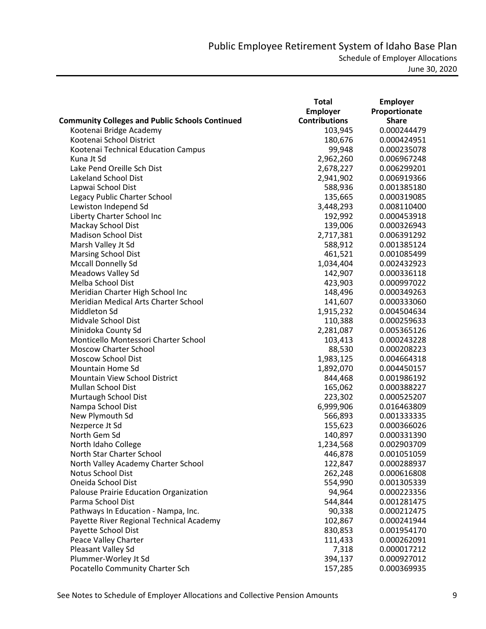|                                                        | Total                | <b>Employer</b> |
|--------------------------------------------------------|----------------------|-----------------|
|                                                        | <b>Employer</b>      | Proportionate   |
| <b>Community Colleges and Public Schools Continued</b> | <b>Contributions</b> | <b>Share</b>    |
| Kootenai Bridge Academy                                | 103,945              | 0.000244479     |
| Kootenai School District                               | 180,676              | 0.000424951     |
| Kootenai Technical Education Campus                    | 99,948               | 0.000235078     |
| Kuna Jt Sd                                             | 2,962,260            | 0.006967248     |
| Lake Pend Oreille Sch Dist                             | 2,678,227            | 0.006299201     |
| <b>Lakeland School Dist</b>                            | 2,941,902            | 0.006919366     |
| Lapwai School Dist                                     | 588,936              | 0.001385180     |
| Legacy Public Charter School                           | 135,665              | 0.000319085     |
| Lewiston Independ Sd                                   | 3,448,293            | 0.008110400     |
| Liberty Charter School Inc                             | 192,992              | 0.000453918     |
| Mackay School Dist                                     | 139,006              | 0.000326943     |
| <b>Madison School Dist</b>                             | 2,717,381            | 0.006391292     |
| Marsh Valley Jt Sd                                     | 588,912              | 0.001385124     |
| <b>Marsing School Dist</b>                             | 461,521              | 0.001085499     |
| <b>Mccall Donnelly Sd</b>                              | 1,034,404            | 0.002432923     |
| Meadows Valley Sd                                      | 142,907              | 0.000336118     |
| Melba School Dist                                      | 423,903              | 0.000997022     |
| Meridian Charter High School Inc                       | 148,496              | 0.000349263     |
| Meridian Medical Arts Charter School                   | 141,607              | 0.000333060     |
| Middleton Sd                                           | 1,915,232            | 0.004504634     |
| Midvale School Dist                                    | 110,388              | 0.000259633     |
| Minidoka County Sd                                     | 2,281,087            | 0.005365126     |
| Monticello Montessori Charter School                   | 103,413              | 0.000243228     |
| <b>Moscow Charter School</b>                           | 88,530               | 0.000208223     |
| <b>Moscow School Dist</b>                              | 1,983,125            | 0.004664318     |
| Mountain Home Sd                                       | 1,892,070            | 0.004450157     |
| Mountain View School District                          | 844,468              | 0.001986192     |
| <b>Mullan School Dist</b>                              | 165,062              | 0.000388227     |
| Murtaugh School Dist                                   | 223,302              | 0.000525207     |
| Nampa School Dist                                      | 6,999,906            | 0.016463809     |
| New Plymouth Sd                                        | 566,893              | 0.001333335     |
| Nezperce Jt Sd                                         | 155,623              | 0.000366026     |
| North Gem Sd                                           | 140,897              | 0.000331390     |
| North Idaho College                                    | 1,234,568            | 0.002903709     |
| North Star Charter School                              | 446,878              | 0.001051059     |
| North Valley Academy Charter School                    | 122,847              | 0.000288937     |
| <b>Notus School Dist</b>                               | 262,248              | 0.000616808     |
| Oneida School Dist                                     | 554,990              | 0.001305339     |
| Palouse Prairie Education Organization                 | 94,964               | 0.000223356     |
| Parma School Dist                                      | 544,844              | 0.001281475     |
| Pathways In Education - Nampa, Inc.                    | 90,338               | 0.000212475     |
| Payette River Regional Technical Academy               | 102,867              | 0.000241944     |
| Payette School Dist                                    | 830,853              | 0.001954170     |
| Peace Valley Charter                                   | 111,433              | 0.000262091     |
| Pleasant Valley Sd                                     | 7,318                | 0.000017212     |
| Plummer-Worley Jt Sd                                   | 394,137              | 0.000927012     |
| Pocatello Community Charter Sch                        | 157,285              | 0.000369935     |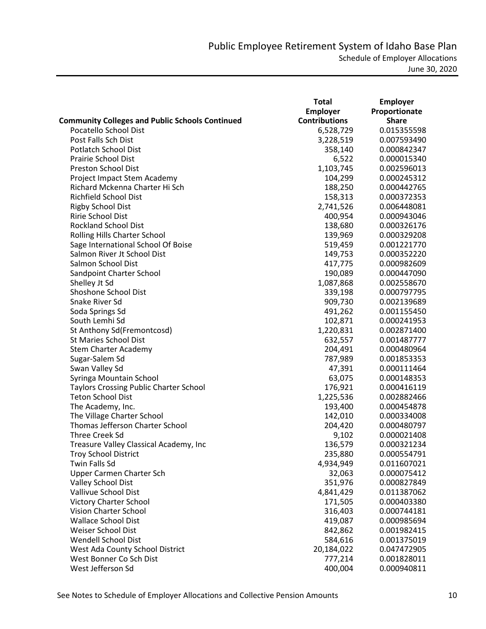|                                                        | <b>Total</b>         | <b>Employer</b> |
|--------------------------------------------------------|----------------------|-----------------|
|                                                        | <b>Employer</b>      | Proportionate   |
| <b>Community Colleges and Public Schools Continued</b> | <b>Contributions</b> | <b>Share</b>    |
| Pocatello School Dist                                  | 6,528,729            | 0.015355598     |
| Post Falls Sch Dist                                    | 3,228,519            | 0.007593490     |
| <b>Potlatch School Dist</b>                            | 358,140              | 0.000842347     |
| <b>Prairie School Dist</b>                             | 6,522                | 0.000015340     |
| Preston School Dist                                    | 1,103,745            | 0.002596013     |
| Project Impact Stem Academy                            | 104,299              | 0.000245312     |
| Richard Mckenna Charter Hi Sch                         | 188,250              | 0.000442765     |
| <b>Richfield School Dist</b>                           | 158,313              | 0.000372353     |
| <b>Rigby School Dist</b>                               | 2,741,526            | 0.006448081     |
| Ririe School Dist                                      | 400,954              | 0.000943046     |
| <b>Rockland School Dist</b>                            | 138,680              | 0.000326176     |
| Rolling Hills Charter School                           | 139,969              | 0.000329208     |
| Sage International School Of Boise                     | 519,459              | 0.001221770     |
| Salmon River Jt School Dist                            | 149,753              | 0.000352220     |
| Salmon School Dist                                     | 417,775              | 0.000982609     |
| Sandpoint Charter School                               | 190,089              | 0.000447090     |
| Shelley Jt Sd                                          | 1,087,868            | 0.002558670     |
| Shoshone School Dist                                   | 339,198              | 0.000797795     |
| Snake River Sd                                         | 909,730              | 0.002139689     |
| Soda Springs Sd                                        | 491,262              | 0.001155450     |
| South Lemhi Sd                                         | 102,871              | 0.000241953     |
|                                                        |                      |                 |
| St Anthony Sd(Fremontcosd)<br>St Maries School Dist    | 1,220,831            | 0.002871400     |
|                                                        | 632,557              | 0.001487777     |
| Stem Charter Academy                                   | 204,491              | 0.000480964     |
| Sugar-Salem Sd                                         | 787,989              | 0.001853353     |
| Swan Valley Sd                                         | 47,391               | 0.000111464     |
| Syringa Mountain School                                | 63,075               | 0.000148353     |
| <b>Taylors Crossing Public Charter School</b>          | 176,921              | 0.000416119     |
| <b>Teton School Dist</b>                               | 1,225,536            | 0.002882466     |
| The Academy, Inc.                                      | 193,400              | 0.000454878     |
| The Village Charter School                             | 142,010              | 0.000334008     |
| Thomas Jefferson Charter School                        | 204,420              | 0.000480797     |
| <b>Three Creek Sd</b>                                  | 9,102                | 0.000021408     |
| Treasure Valley Classical Academy, Inc                 | 136,579              | 0.000321234     |
| <b>Troy School District</b>                            | 235,880              | 0.000554791     |
| <b>Twin Falls Sd</b>                                   | 4,934,949            | 0.011607021     |
| Upper Carmen Charter Sch                               | 32,063               | 0.000075412     |
| Valley School Dist                                     | 351,976              | 0.000827849     |
| Vallivue School Dist                                   | 4,841,429            | 0.011387062     |
| <b>Victory Charter School</b>                          | 171,505              | 0.000403380     |
| Vision Charter School                                  | 316,403              | 0.000744181     |
| <b>Wallace School Dist</b>                             | 419,087              | 0.000985694     |
| Weiser School Dist                                     | 842,862              | 0.001982415     |
| Wendell School Dist                                    | 584,616              | 0.001375019     |
| West Ada County School District                        | 20,184,022           | 0.047472905     |
| West Bonner Co Sch Dist                                | 777,214              | 0.001828011     |
| West Jefferson Sd                                      | 400,004              | 0.000940811     |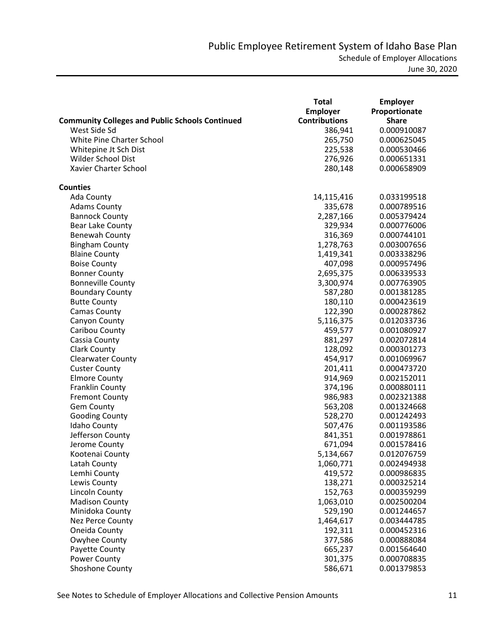|                                                        | Total                | <b>Employer</b> |
|--------------------------------------------------------|----------------------|-----------------|
|                                                        | <b>Employer</b>      | Proportionate   |
| <b>Community Colleges and Public Schools Continued</b> | <b>Contributions</b> | <b>Share</b>    |
| West Side Sd                                           | 386,941              | 0.000910087     |
| White Pine Charter School                              | 265,750              | 0.000625045     |
| Whitepine Jt Sch Dist                                  | 225,538              | 0.000530466     |
| Wilder School Dist                                     | 276,926              | 0.000651331     |
| Xavier Charter School                                  | 280,148              | 0.000658909     |
| <b>Counties</b>                                        |                      |                 |
| Ada County                                             | 14,115,416           | 0.033199518     |
| <b>Adams County</b>                                    | 335,678              | 0.000789516     |
| <b>Bannock County</b>                                  | 2,287,166            | 0.005379424     |
| <b>Bear Lake County</b>                                | 329,934              | 0.000776006     |
| Benewah County                                         | 316,369              | 0.000744101     |
| <b>Bingham County</b>                                  | 1,278,763            | 0.003007656     |
| <b>Blaine County</b>                                   | 1,419,341            | 0.003338296     |
| <b>Boise County</b>                                    | 407,098              | 0.000957496     |
| <b>Bonner County</b>                                   | 2,695,375            | 0.006339533     |
| <b>Bonneville County</b>                               | 3,300,974            | 0.007763905     |
| <b>Boundary County</b>                                 | 587,280              | 0.001381285     |
| <b>Butte County</b>                                    | 180,110              | 0.000423619     |
| <b>Camas County</b>                                    | 122,390              | 0.000287862     |
| Canyon County                                          | 5,116,375            | 0.012033736     |
| Caribou County                                         | 459,577              | 0.001080927     |
| Cassia County                                          | 881,297              | 0.002072814     |
| <b>Clark County</b>                                    | 128,092              | 0.000301273     |
| <b>Clearwater County</b>                               | 454,917              | 0.001069967     |
| <b>Custer County</b>                                   | 201,411              | 0.000473720     |
| <b>Elmore County</b>                                   | 914,969              | 0.002152011     |
| <b>Franklin County</b>                                 | 374,196              | 0.000880111     |
| <b>Fremont County</b>                                  | 986,983              | 0.002321388     |
| Gem County                                             | 563,208              | 0.001324668     |
| <b>Gooding County</b>                                  | 528,270              | 0.001242493     |
| <b>Idaho County</b>                                    | 507,476              | 0.001193586     |
| Jefferson County                                       | 841,351              | 0.001978861     |
| Jerome County                                          | 671,094              | 0.001578416     |
| Kootenai County                                        | 5,134,667            | 0.012076759     |
| Latah County                                           | 1,060,771            | 0.002494938     |
| Lemhi County                                           | 419,572              | 0.000986835     |
| Lewis County                                           | 138,271              | 0.000325214     |
| Lincoln County                                         | 152,763              | 0.000359299     |
| <b>Madison County</b>                                  | 1,063,010            | 0.002500204     |
| Minidoka County                                        | 529,190              | 0.001244657     |
| Nez Perce County                                       | 1,464,617            | 0.003444785     |
| Oneida County                                          | 192,311              | 0.000452316     |
| Owyhee County                                          | 377,586              | 0.000888084     |
| Payette County                                         | 665,237              | 0.001564640     |
| Power County                                           | 301,375              | 0.000708835     |
| Shoshone County                                        | 586,671              | 0.001379853     |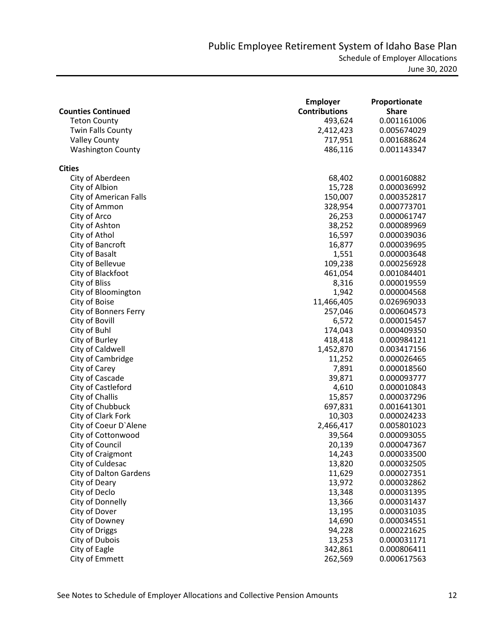|                              | <b>Employer</b>      | Proportionate |
|------------------------------|----------------------|---------------|
| <b>Counties Continued</b>    | <b>Contributions</b> | <b>Share</b>  |
| <b>Teton County</b>          | 493,624              | 0.001161006   |
| <b>Twin Falls County</b>     | 2,412,423            | 0.005674029   |
| <b>Valley County</b>         | 717,951              | 0.001688624   |
| <b>Washington County</b>     | 486,116              | 0.001143347   |
| <b>Cities</b>                |                      |               |
| City of Aberdeen             | 68,402               | 0.000160882   |
| City of Albion               | 15,728               | 0.000036992   |
| City of American Falls       | 150,007              | 0.000352817   |
| City of Ammon                | 328,954              | 0.000773701   |
| City of Arco                 | 26,253               | 0.000061747   |
| City of Ashton               | 38,252               | 0.000089969   |
| City of Athol                | 16,597               | 0.000039036   |
| City of Bancroft             | 16,877               | 0.000039695   |
| City of Basalt               | 1,551                | 0.000003648   |
| City of Bellevue             | 109,238              | 0.000256928   |
| City of Blackfoot            | 461,054              | 0.001084401   |
| City of Bliss                | 8,316                | 0.000019559   |
| City of Bloomington          | 1,942                | 0.000004568   |
| City of Boise                | 11,466,405           | 0.026969033   |
| <b>City of Bonners Ferry</b> | 257,046              | 0.000604573   |
| City of Bovill               | 6,572                | 0.000015457   |
| City of Buhl                 | 174,043              | 0.000409350   |
| City of Burley               | 418,418              | 0.000984121   |
| City of Caldwell             | 1,452,870            | 0.003417156   |
| City of Cambridge            | 11,252               | 0.000026465   |
| City of Carey                | 7,891                | 0.000018560   |
| City of Cascade              | 39,871               | 0.000093777   |
| City of Castleford           | 4,610                | 0.000010843   |
| City of Challis              | 15,857               | 0.000037296   |
| City of Chubbuck             | 697,831              | 0.001641301   |
| City of Clark Fork           | 10,303               | 0.000024233   |
| City of Coeur D'Alene        | 2,466,417            | 0.005801023   |
| City of Cottonwood           | 39,564               | 0.000093055   |
| City of Council              | 20,139               | 0.000047367   |
| City of Craigmont            | 14,243               | 0.000033500   |
| City of Culdesac             | 13,820               | 0.000032505   |
| City of Dalton Gardens       | 11,629               | 0.000027351   |
| City of Deary                | 13,972               | 0.000032862   |
| City of Declo                | 13,348               | 0.000031395   |
| City of Donnelly             | 13,366               | 0.000031437   |
| City of Dover                | 13,195               | 0.000031035   |
| City of Downey               | 14,690               | 0.000034551   |
| City of Driggs               | 94,228               | 0.000221625   |
| City of Dubois               | 13,253               | 0.000031171   |
| City of Eagle                | 342,861              | 0.000806411   |
| City of Emmett               | 262,569              | 0.000617563   |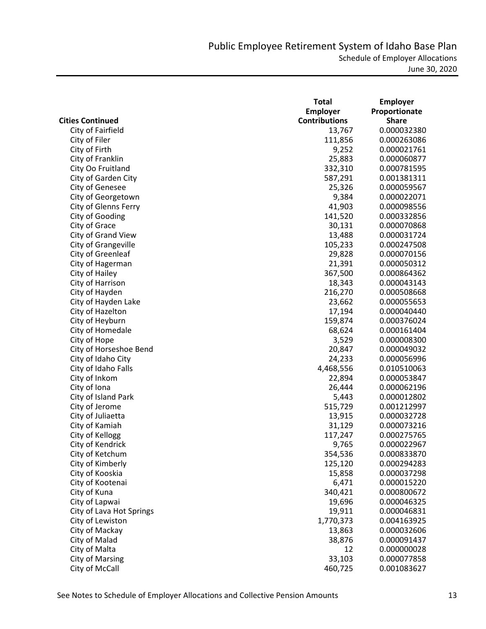|                          | <b>Total</b>         | <b>Employer</b> |
|--------------------------|----------------------|-----------------|
|                          | <b>Employer</b>      | Proportionate   |
| <b>Cities Continued</b>  | <b>Contributions</b> | <b>Share</b>    |
| City of Fairfield        | 13,767               | 0.000032380     |
| City of Filer            | 111,856              | 0.000263086     |
| City of Firth            | 9,252                | 0.000021761     |
| City of Franklin         | 25,883               | 0.000060877     |
| City Oo Fruitland        | 332,310              | 0.000781595     |
| City of Garden City      | 587,291              | 0.001381311     |
| City of Genesee          | 25,326               | 0.000059567     |
| City of Georgetown       | 9,384                | 0.000022071     |
| City of Glenns Ferry     | 41,903               | 0.000098556     |
| City of Gooding          | 141,520              | 0.000332856     |
| City of Grace            | 30,131               | 0.000070868     |
| City of Grand View       | 13,488               | 0.000031724     |
| City of Grangeville      | 105,233              | 0.000247508     |
| City of Greenleaf        | 29,828               | 0.000070156     |
| City of Hagerman         | 21,391               | 0.000050312     |
| City of Hailey           | 367,500              | 0.000864362     |
| City of Harrison         | 18,343               | 0.000043143     |
| City of Hayden           | 216,270              | 0.000508668     |
| City of Hayden Lake      | 23,662               | 0.000055653     |
| City of Hazelton         | 17,194               | 0.000040440     |
| City of Heyburn          | 159,874              | 0.000376024     |
| City of Homedale         | 68,624               | 0.000161404     |
| City of Hope             | 3,529                | 0.000008300     |
| City of Horseshoe Bend   | 20,847               | 0.000049032     |
| City of Idaho City       | 24,233               | 0.000056996     |
| City of Idaho Falls      | 4,468,556            | 0.010510063     |
| City of Inkom            | 22,894               | 0.000053847     |
| City of Iona             | 26,444               | 0.000062196     |
| City of Island Park      | 5,443                | 0.000012802     |
| City of Jerome           | 515,729              | 0.001212997     |
| City of Juliaetta        | 13,915               | 0.000032728     |
| City of Kamiah           | 31,129               | 0.000073216     |
| City of Kellogg          | 117,247              | 0.000275765     |
| City of Kendrick         | 9,765                | 0.000022967     |
| City of Ketchum          | 354,536              | 0.000833870     |
| City of Kimberly         | 125,120              | 0.000294283     |
| City of Kooskia          | 15,858               | 0.000037298     |
| City of Kootenai         | 6,471                | 0.000015220     |
| City of Kuna             | 340,421              | 0.000800672     |
| City of Lapwai           | 19,696               | 0.000046325     |
| City of Lava Hot Springs | 19,911               | 0.000046831     |
| City of Lewiston         | 1,770,373            | 0.004163925     |
| City of Mackay           | 13,863               | 0.000032606     |
| City of Malad            | 38,876               | 0.000091437     |
|                          | 12                   |                 |
| City of Malta            |                      | 0.000000028     |
| City of Marsing          | 33,103               | 0.000077858     |
| City of McCall           | 460,725              | 0.001083627     |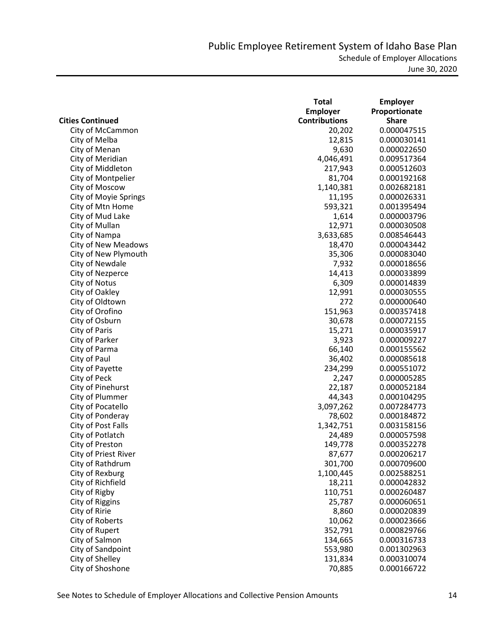|                              | <b>Total</b>         | <b>Employer</b> |
|------------------------------|----------------------|-----------------|
|                              | <b>Employer</b>      | Proportionate   |
| <b>Cities Continued</b>      | <b>Contributions</b> | <b>Share</b>    |
| City of McCammon             | 20,202               | 0.000047515     |
| City of Melba                | 12,815               | 0.000030141     |
| City of Menan                | 9,630                | 0.000022650     |
| City of Meridian             | 4,046,491            | 0.009517364     |
| City of Middleton            | 217,943              | 0.000512603     |
| City of Montpelier           | 81,704               | 0.000192168     |
| City of Moscow               | 1,140,381            | 0.002682181     |
| <b>City of Moyie Springs</b> | 11,195               | 0.000026331     |
| City of Mtn Home             | 593,321              | 0.001395494     |
| City of Mud Lake             | 1,614                | 0.000003796     |
| City of Mullan               | 12,971               | 0.000030508     |
| City of Nampa                | 3,633,685            | 0.008546443     |
| <b>City of New Meadows</b>   | 18,470               | 0.000043442     |
| City of New Plymouth         | 35,306               | 0.000083040     |
| City of Newdale              | 7,932                | 0.000018656     |
| City of Nezperce             | 14,413               | 0.000033899     |
| City of Notus                | 6,309                | 0.000014839     |
| City of Oakley               | 12,991               | 0.000030555     |
| City of Oldtown              | 272                  | 0.000000640     |
| City of Orofino              | 151,963              | 0.000357418     |
| City of Osburn               | 30,678               | 0.000072155     |
| City of Paris                | 15,271               | 0.000035917     |
| City of Parker               | 3,923                | 0.000009227     |
| City of Parma                | 66,140               | 0.000155562     |
| City of Paul                 | 36,402               | 0.000085618     |
| City of Payette              | 234,299              | 0.000551072     |
| City of Peck                 | 2,247                | 0.000005285     |
| City of Pinehurst            | 22,187               | 0.000052184     |
| City of Plummer              | 44,343               | 0.000104295     |
| City of Pocatello            | 3,097,262            | 0.007284773     |
| City of Ponderay             | 78,602               | 0.000184872     |
| City of Post Falls           | 1,342,751            | 0.003158156     |
| City of Potlatch             | 24,489               | 0.000057598     |
| City of Preston              | 149,778              | 0.000352278     |
| City of Priest River         | 87,677               | 0.000206217     |
| City of Rathdrum             | 301,700              | 0.000709600     |
| City of Rexburg              | 1,100,445            | 0.002588251     |
| City of Richfield            | 18,211               | 0.000042832     |
| City of Rigby                | 110,751              | 0.000260487     |
| City of Riggins              | 25,787               | 0.000060651     |
| City of Ririe                | 8,860                | 0.000020839     |
| City of Roberts              | 10,062               | 0.000023666     |
| City of Rupert               | 352,791              | 0.000829766     |
| City of Salmon               | 134,665              | 0.000316733     |
| City of Sandpoint            | 553,980              | 0.001302963     |
| City of Shelley              | 131,834              | 0.000310074     |
| City of Shoshone             | 70,885               | 0.000166722     |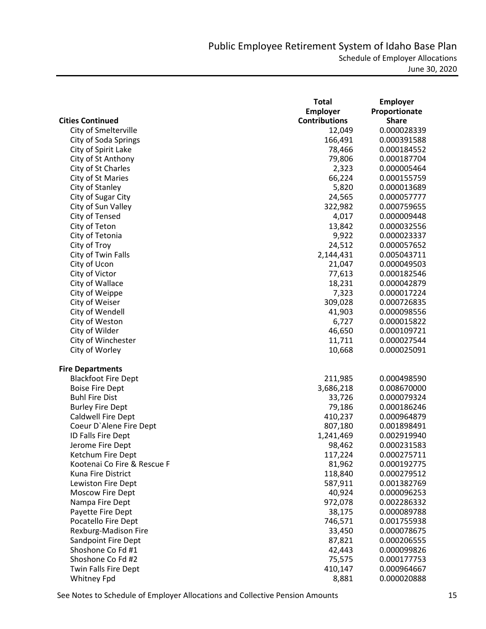|                             | Total                | <b>Employer</b> |
|-----------------------------|----------------------|-----------------|
|                             | <b>Employer</b>      | Proportionate   |
| <b>Cities Continued</b>     | <b>Contributions</b> | <b>Share</b>    |
| City of Smelterville        | 12,049               | 0.000028339     |
| <b>City of Soda Springs</b> | 166,491              | 0.000391588     |
| City of Spirit Lake         | 78,466               | 0.000184552     |
| City of St Anthony          | 79,806               | 0.000187704     |
| City of St Charles          | 2,323                | 0.000005464     |
| City of St Maries           | 66,224               | 0.000155759     |
| City of Stanley             | 5,820                | 0.000013689     |
| City of Sugar City          | 24,565               | 0.000057777     |
| City of Sun Valley          | 322,982              | 0.000759655     |
| City of Tensed              | 4,017                | 0.000009448     |
| City of Teton               | 13,842               | 0.000032556     |
| City of Tetonia             | 9,922                | 0.000023337     |
| City of Troy                | 24,512               | 0.000057652     |
| City of Twin Falls          | 2,144,431            | 0.005043711     |
| City of Ucon                | 21,047               | 0.000049503     |
| City of Victor              | 77,613               | 0.000182546     |
| City of Wallace             | 18,231               | 0.000042879     |
| City of Weippe              | 7,323                | 0.000017224     |
| City of Weiser              | 309,028              | 0.000726835     |
| City of Wendell             | 41,903               | 0.000098556     |
| City of Weston              | 6,727                | 0.000015822     |
| City of Wilder              | 46,650               | 0.000109721     |
| City of Winchester          | 11,711               | 0.000027544     |
| City of Worley              | 10,668               | 0.000025091     |
|                             |                      |                 |
| <b>Fire Departments</b>     |                      |                 |
| <b>Blackfoot Fire Dept</b>  | 211,985              | 0.000498590     |
| <b>Boise Fire Dept</b>      | 3,686,218            | 0.008670000     |
| <b>Buhl Fire Dist</b>       | 33,726               | 0.000079324     |
| <b>Burley Fire Dept</b>     | 79,186               | 0.000186246     |
| <b>Caldwell Fire Dept</b>   | 410,237              | 0.000964879     |
| Coeur D'Alene Fire Dept     | 807,180              | 0.001898491     |
| ID Falls Fire Dept          | 1,241,469            | 0.002919940     |
| Jerome Fire Dept            | 98,462               | 0.000231583     |
| Ketchum Fire Dept           | 117,224              | 0.000275711     |
| Kootenai Co Fire & Rescue F | 81,962               | 0.000192775     |
| Kuna Fire District          | 118,840              | 0.000279512     |
| Lewiston Fire Dept          | 587,911              | 0.001382769     |
| <b>Moscow Fire Dept</b>     | 40,924               | 0.000096253     |
| Nampa Fire Dept             | 972,078              | 0.002286332     |
| Payette Fire Dept           | 38,175               | 0.000089788     |
| Pocatello Fire Dept         | 746,571              | 0.001755938     |
| Rexburg-Madison Fire        | 33,450               | 0.000078675     |
| <b>Sandpoint Fire Dept</b>  | 87,821               | 0.000206555     |
| Shoshone Co Fd #1           | 42,443               | 0.000099826     |
| Shoshone Co Fd #2           | 75,575               | 0.000177753     |
| Twin Falls Fire Dept        | 410,147              | 0.000964667     |
| <b>Whitney Fpd</b>          | 8,881                | 0.000020888     |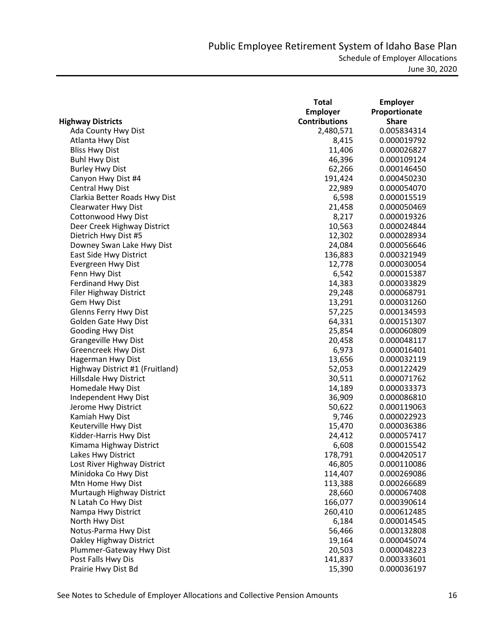|                                 | <b>Total</b>         | <b>Employer</b> |
|---------------------------------|----------------------|-----------------|
|                                 | <b>Employer</b>      | Proportionate   |
| <b>Highway Districts</b>        | <b>Contributions</b> | <b>Share</b>    |
| Ada County Hwy Dist             | 2,480,571            | 0.005834314     |
| Atlanta Hwy Dist                | 8,415                | 0.000019792     |
| <b>Bliss Hwy Dist</b>           | 11,406               | 0.000026827     |
| <b>Buhl Hwy Dist</b>            | 46,396               | 0.000109124     |
| <b>Burley Hwy Dist</b>          | 62,266               | 0.000146450     |
| Canyon Hwy Dist #4              | 191,424              | 0.000450230     |
| Central Hwy Dist                | 22,989               | 0.000054070     |
| Clarkia Better Roads Hwy Dist   | 6,598                | 0.000015519     |
| Clearwater Hwy Dist             | 21,458               | 0.000050469     |
| <b>Cottonwood Hwy Dist</b>      | 8,217                | 0.000019326     |
| Deer Creek Highway District     | 10,563               | 0.000024844     |
| Dietrich Hwy Dist #5            | 12,302               | 0.000028934     |
| Downey Swan Lake Hwy Dist       | 24,084               | 0.000056646     |
| East Side Hwy District          | 136,883              | 0.000321949     |
| Evergreen Hwy Dist              | 12,778               | 0.000030054     |
| Fenn Hwy Dist                   | 6,542                | 0.000015387     |
| <b>Ferdinand Hwy Dist</b>       | 14,383               | 0.000033829     |
| <b>Filer Highway District</b>   | 29,248               | 0.000068791     |
| Gem Hwy Dist                    | 13,291               | 0.000031260     |
| Glenns Ferry Hwy Dist           | 57,225               | 0.000134593     |
| Golden Gate Hwy Dist            | 64,331               | 0.000151307     |
| Gooding Hwy Dist                | 25,854               | 0.000060809     |
| <b>Grangeville Hwy Dist</b>     | 20,458               | 0.000048117     |
| <b>Greencreek Hwy Dist</b>      | 6,973                | 0.000016401     |
| Hagerman Hwy Dist               | 13,656               | 0.000032119     |
| Highway District #1 (Fruitland) | 52,053               | 0.000122429     |
| Hillsdale Hwy District          | 30,511               | 0.000071762     |
| Homedale Hwy Dist               | 14,189               | 0.000033373     |
| Independent Hwy Dist            | 36,909               | 0.000086810     |
| Jerome Hwy District             | 50,622               | 0.000119063     |
| Kamiah Hwy Dist                 | 9,746                | 0.000022923     |
| Keuterville Hwy Dist            | 15,470               | 0.000036386     |
| Kidder-Harris Hwy Dist          | 24,412               | 0.000057417     |
| Kimama Highway District         | 6,608                | 0.000015542     |
| Lakes Hwy District              | 178,791              | 0.000420517     |
| Lost River Highway District     | 46,805               | 0.000110086     |
| Minidoka Co Hwy Dist            | 114,407              | 0.000269086     |
| Mtn Home Hwy Dist               | 113,388              | 0.000266689     |
| Murtaugh Highway District       | 28,660               | 0.000067408     |
| N Latah Co Hwy Dist             | 166,077              | 0.000390614     |
| Nampa Hwy District              | 260,410              | 0.000612485     |
| North Hwy Dist                  | 6,184                | 0.000014545     |
| Notus-Parma Hwy Dist            | 56,466               | 0.000132808     |
| Oakley Highway District         | 19,164               | 0.000045074     |
| Plummer-Gateway Hwy Dist        | 20,503               | 0.000048223     |
| Post Falls Hwy Dis              | 141,837              | 0.000333601     |
| Prairie Hwy Dist Bd             | 15,390               | 0.000036197     |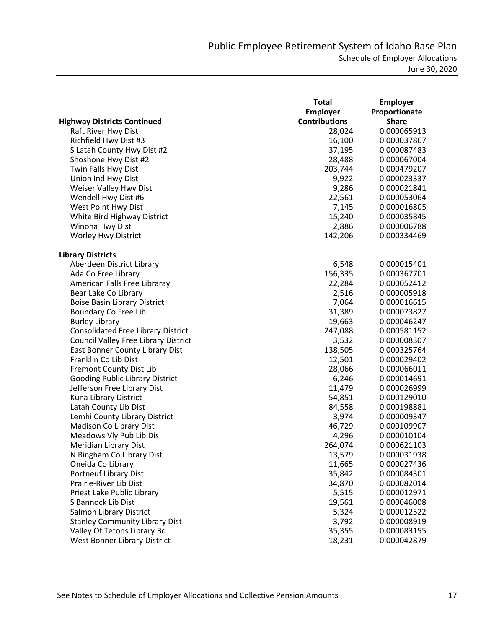|                                           | <b>Total</b>         | <b>Employer</b> |
|-------------------------------------------|----------------------|-----------------|
|                                           | <b>Employer</b>      | Proportionate   |
| <b>Highway Districts Continued</b>        | <b>Contributions</b> | <b>Share</b>    |
| Raft River Hwy Dist                       | 28,024               | 0.000065913     |
| Richfield Hwy Dist #3                     | 16,100               | 0.000037867     |
| S Latah County Hwy Dist #2                | 37,195               | 0.000087483     |
| Shoshone Hwy Dist #2                      | 28,488               | 0.000067004     |
| Twin Falls Hwy Dist                       | 203,744              | 0.000479207     |
| Union Ind Hwy Dist                        | 9,922                | 0.000023337     |
| Weiser Valley Hwy Dist                    | 9,286                | 0.000021841     |
| Wendell Hwy Dist #6                       | 22,561               | 0.000053064     |
| West Point Hwy Dist                       | 7,145                | 0.000016805     |
| White Bird Highway District               | 15,240               | 0.000035845     |
| Winona Hwy Dist                           | 2,886                | 0.000006788     |
| Worley Hwy District                       | 142,206              | 0.000334469     |
| <b>Library Districts</b>                  |                      |                 |
| Aberdeen District Library                 | 6,548                | 0.000015401     |
| Ada Co Free Library                       | 156,335              | 0.000367701     |
| American Falls Free Libraray              | 22,284               | 0.000052412     |
| Bear Lake Co Library                      | 2,516                | 0.000005918     |
| <b>Boise Basin Library District</b>       | 7,064                | 0.000016615     |
| Boundary Co Free Lib                      | 31,389               | 0.000073827     |
| <b>Burley Library</b>                     | 19,663               | 0.000046247     |
| <b>Consolidated Free Library District</b> | 247,088              | 0.000581152     |
| Council Valley Free Library District      | 3,532                | 0.000008307     |
| East Bonner County Library Dist           | 138,505              | 0.000325764     |
| Franklin Co Lib Dist                      | 12,501               | 0.000029402     |
| Fremont County Dist Lib                   | 28,066               | 0.000066011     |
| Gooding Public Library District           | 6,246                | 0.000014691     |
| Jefferson Free Library Dist               | 11,479               | 0.000026999     |
| Kuna Library District                     | 54,851               | 0.000129010     |
| Latah County Lib Dist                     | 84,558               | 0.000198881     |
| Lemhi County Library District             | 3,974                | 0.000009347     |
| Madison Co Library Dist                   | 46,729               | 0.000109907     |
| Meadows Vly Pub Lib Dis                   | 4,296                | 0.000010104     |
| Meridian Library Dist                     | 264,074              | 0.000621103     |
| N Bingham Co Library Dist                 | 13,579               | 0.000031938     |
| Oneida Co Library                         | 11,665               | 0.000027436     |
| Portneuf Library Dist                     | 35,842               | 0.000084301     |
| Prairie-River Lib Dist                    | 34,870               | 0.000082014     |
| Priest Lake Public Library                | 5,515                | 0.000012971     |
| S Bannock Lib Dist                        | 19,561               | 0.000046008     |
| Salmon Library District                   | 5,324                | 0.000012522     |
| <b>Stanley Community Library Dist</b>     | 3,792                | 0.000008919     |
| Valley Of Tetons Library Bd               | 35,355               | 0.000083155     |
| West Bonner Library District              | 18,231               | 0.000042879     |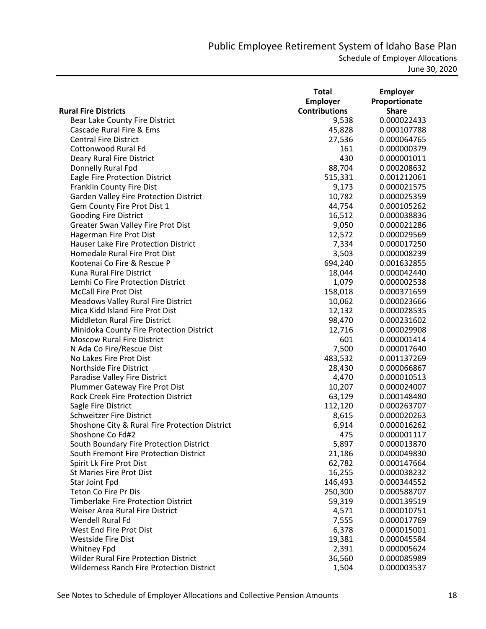|                                                  | <b>Total</b>         | <b>Employer</b> |
|--------------------------------------------------|----------------------|-----------------|
|                                                  | <b>Employer</b>      | Proportionate   |
| <b>Rural Fire Districts</b>                      | <b>Contributions</b> | <b>Share</b>    |
| Bear Lake County Fire District                   | 9,538                | 0.000022433     |
| Cascade Rural Fire & Ems                         | 45,828               | 0.000107788     |
| <b>Central Fire District</b>                     | 27,536               | 0.000064765     |
| Cottonwood Rural Fd                              | 161                  | 0.000000379     |
| Deary Rural Fire District                        | 430                  | 0.000001011     |
| Donnelly Rural Fpd                               | 88,704               | 0.000208632     |
| Eagle Fire Protection District                   | 515,331              | 0.001212061     |
| Franklin County Fire Dist                        | 9,173                | 0.000021575     |
| Garden Valley Fire Protection District           | 10,782               | 0.000025359     |
| Gem County Fire Prot Dist 1                      | 44,754               | 0.000105262     |
| <b>Gooding Fire District</b>                     | 16,512               | 0.000038836     |
| Greater Swan Valley Fire Prot Dist               | 9,050                | 0.000021286     |
| Hagerman Fire Prot Dist                          | 12,572               | 0.000029569     |
| Hauser Lake Fire Protection District             | 7,334                | 0.000017250     |
| Homedale Rural Fire Prot Dist                    | 3,503                | 0.000008239     |
| Kootenai Co Fire & Rescue P                      | 694,240              | 0.001632855     |
| Kuna Rural Fire District                         | 18,044               | 0.000042440     |
| Lemhi Co Fire Protection District                | 1,079                | 0.000002538     |
| <b>McCall Fire Prot Dist</b>                     | 158,018              | 0.000371659     |
| <b>Meadows Valley Rural Fire District</b>        | 10,062               | 0.000023666     |
| Mica Kidd Island Fire Prot Dist                  | 12,132               | 0.000028535     |
| <b>Middleton Rural Fire District</b>             | 98,470               | 0.000231602     |
| Minidoka County Fire Protection District         | 12,716               | 0.000029908     |
| <b>Moscow Rural Fire District</b>                | 601                  | 0.000001414     |
| N Ada Co Fire/Rescue Dist                        | 7,500                | 0.000017640     |
| No Lakes Fire Prot Dist                          | 483,532              | 0.001137269     |
| Northside Fire District                          | 28,430               | 0.000066867     |
| Paradise Valley Fire District                    | 4,470                | 0.000010513     |
| Plummer Gateway Fire Prot Dist                   | 10,207               | 0.000024007     |
| <b>Rock Creek Fire Protection District</b>       | 63,129               | 0.000148480     |
| Sagle Fire District                              | 112,120              | 0.000263707     |
| <b>Schweitzer Fire District</b>                  | 8,615                | 0.000020263     |
| Shoshone City & Rural Fire Protection District   | 6,914                | 0.000016262     |
| Shoshone Co Fd#2                                 | 475                  | 0.000001117     |
| South Boundary Fire Protection District          | 5,897                | 0.000013870     |
| South Fremont Fire Protection District           | 21,186               | 0.000049830     |
| Spirit Lk Fire Prot Dist                         | 62,782               | 0.000147664     |
| <b>St Maries Fire Prot Dist</b>                  | 16,255               | 0.000038232     |
| Star Joint Fpd                                   | 146,493              | 0.000344552     |
| <b>Teton Co Fire Pr Dis</b>                      | 250,300              | 0.000588707     |
| <b>Timberlake Fire Protection District</b>       | 59,319               | 0.000139519     |
| Weiser Area Rural Fire District                  | 4,571                | 0.000010751     |
| <b>Wendell Rural Fd</b>                          | 7,555                | 0.000017769     |
| West End Fire Prot Dist                          | 6,378                | 0.000015001     |
| <b>Westside Fire Dist</b>                        | 19,381               | 0.000045584     |
| <b>Whitney Fpd</b>                               | 2,391                | 0.000005624     |
| <b>Wilder Rural Fire Protection District</b>     | 36,560               | 0.000085989     |
| <b>Wilderness Ranch Fire Protection District</b> | 1,504                | 0.000003537     |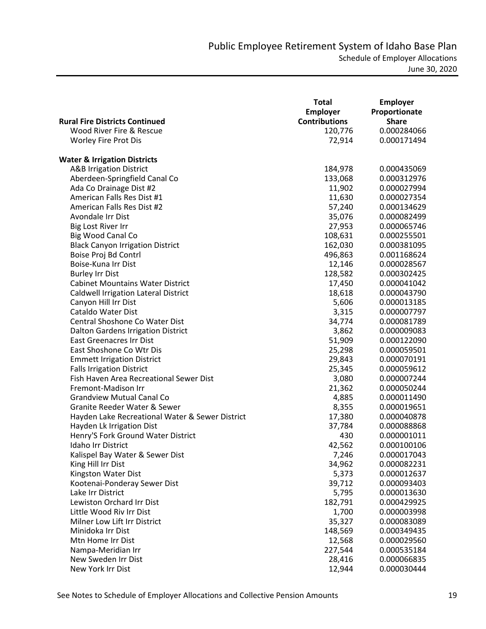|                                                 | <b>Total</b>         | <b>Employer</b> |
|-------------------------------------------------|----------------------|-----------------|
|                                                 | <b>Employer</b>      | Proportionate   |
| <b>Rural Fire Districts Continued</b>           | <b>Contributions</b> | <b>Share</b>    |
| Wood River Fire & Rescue                        | 120,776              | 0.000284066     |
| <b>Worley Fire Prot Dis</b>                     | 72,914               | 0.000171494     |
|                                                 |                      |                 |
| <b>Water &amp; Irrigation Districts</b>         |                      |                 |
| <b>A&amp;B Irrigation District</b>              | 184,978              | 0.000435069     |
| Aberdeen-Springfield Canal Co                   | 133,068              | 0.000312976     |
| Ada Co Drainage Dist #2                         | 11,902               | 0.000027994     |
| American Falls Res Dist #1                      | 11,630               | 0.000027354     |
| American Falls Res Dist #2                      | 57,240               | 0.000134629     |
| Avondale Irr Dist                               | 35,076               | 0.000082499     |
| <b>Big Lost River Irr</b>                       | 27,953               | 0.000065746     |
| Big Wood Canal Co                               | 108,631              | 0.000255501     |
| <b>Black Canyon Irrigation District</b>         | 162,030              | 0.000381095     |
| Boise Proj Bd Contrl                            | 496,863              | 0.001168624     |
| Boise-Kuna Irr Dist                             | 12,146               | 0.000028567     |
| <b>Burley Irr Dist</b>                          | 128,582              | 0.000302425     |
| <b>Cabinet Mountains Water District</b>         | 17,450               | 0.000041042     |
| <b>Caldwell Irrigation Lateral District</b>     | 18,618               | 0.000043790     |
| Canyon Hill Irr Dist                            | 5,606                | 0.000013185     |
| Cataldo Water Dist                              | 3,315                | 0.000007797     |
| Central Shoshone Co Water Dist                  | 34,774               | 0.000081789     |
| Dalton Gardens Irrigation District              | 3,862                | 0.000009083     |
| East Greenacres Irr Dist                        | 51,909               | 0.000122090     |
| East Shoshone Co Wtr Dis                        | 25,298               | 0.000059501     |
| <b>Emmett Irrigation District</b>               | 29,843               | 0.000070191     |
| <b>Falls Irrigation District</b>                | 25,345               | 0.000059612     |
| Fish Haven Area Recreational Sewer Dist         | 3,080                | 0.000007244     |
| Fremont-Madison Irr                             | 21,362               | 0.000050244     |
| <b>Grandview Mutual Canal Co</b>                | 4,885                | 0.000011490     |
| Granite Reeder Water & Sewer                    | 8,355                | 0.000019651     |
| Hayden Lake Recreational Water & Sewer District | 17,380               | 0.000040878     |
| Hayden Lk Irrigation Dist                       | 37,784               | 0.000088868     |
| Henry'S Fork Ground Water District              | 430                  | 0.000001011     |
| Idaho Irr District                              | 42,562               | 0.000100106     |
| Kalispel Bay Water & Sewer Dist                 | 7,246                | 0.000017043     |
| King Hill Irr Dist                              | 34,962               | 0.000082231     |
| Kingston Water Dist                             | 5,373                | 0.000012637     |
| Kootenai-Ponderay Sewer Dist                    | 39,712               | 0.000093403     |
| Lake Irr District                               | 5,795                | 0.000013630     |
| Lewiston Orchard Irr Dist                       | 182,791              | 0.000429925     |
| Little Wood Riv Irr Dist                        | 1,700                | 0.000003998     |
| Milner Low Lift Irr District                    | 35,327               | 0.000083089     |
| Minidoka Irr Dist                               | 148,569              | 0.000349435     |
| Mtn Home Irr Dist                               | 12,568               | 0.000029560     |
| Nampa-Meridian Irr                              | 227,544              | 0.000535184     |
| New Sweden Irr Dist                             | 28,416               | 0.000066835     |
| New York Irr Dist                               | 12,944               | 0.000030444     |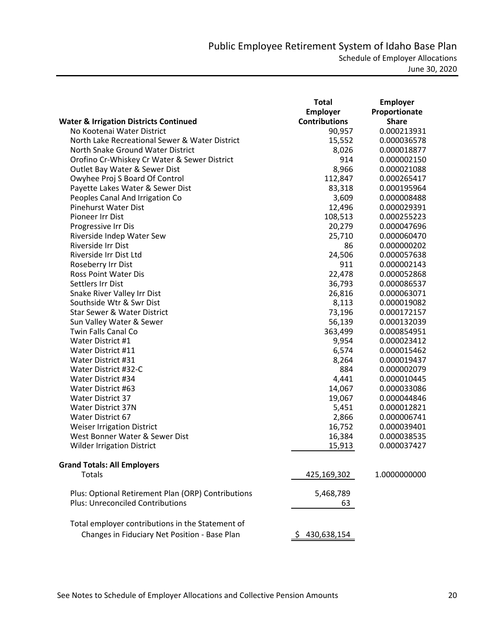| <b>Employer</b><br>Proportionate<br><b>Contributions</b><br><b>Share</b><br><b>Water &amp; Irrigation Districts Continued</b><br>No Kootenai Water District<br>0.000213931<br>90,957<br>North Lake Recreational Sewer & Water District<br>15,552<br>0.000036578 |  |
|-----------------------------------------------------------------------------------------------------------------------------------------------------------------------------------------------------------------------------------------------------------------|--|
|                                                                                                                                                                                                                                                                 |  |
|                                                                                                                                                                                                                                                                 |  |
|                                                                                                                                                                                                                                                                 |  |
|                                                                                                                                                                                                                                                                 |  |
| North Snake Ground Water District<br>8,026<br>0.000018877                                                                                                                                                                                                       |  |
| 914<br>Orofino Cr-Whiskey Cr Water & Sewer District<br>0.000002150                                                                                                                                                                                              |  |
| Outlet Bay Water & Sewer Dist<br>8,966<br>0.000021088                                                                                                                                                                                                           |  |
| Owyhee Proj S Board Of Control<br>112,847<br>0.000265417                                                                                                                                                                                                        |  |
| Payette Lakes Water & Sewer Dist<br>83,318<br>0.000195964                                                                                                                                                                                                       |  |
| Peoples Canal And Irrigation Co<br>3,609<br>0.000008488                                                                                                                                                                                                         |  |
| Pinehurst Water Dist<br>12,496<br>0.000029391                                                                                                                                                                                                                   |  |
| Pioneer Irr Dist<br>108,513<br>0.000255223                                                                                                                                                                                                                      |  |
| 20,279<br>Progressive Irr Dis<br>0.000047696                                                                                                                                                                                                                    |  |
| 25,710<br>Riverside Indep Water Sew<br>0.000060470                                                                                                                                                                                                              |  |
| Riverside Irr Dist<br>86<br>0.000000202                                                                                                                                                                                                                         |  |
| Riverside Irr Dist Ltd<br>24,506<br>0.000057638                                                                                                                                                                                                                 |  |
| 911<br>Roseberry Irr Dist<br>0.000002143                                                                                                                                                                                                                        |  |
| Ross Point Water Dis<br>22,478<br>0.000052868                                                                                                                                                                                                                   |  |
| Settlers Irr Dist<br>36,793<br>0.000086537                                                                                                                                                                                                                      |  |
| 26,816<br>Snake River Valley Irr Dist<br>0.000063071                                                                                                                                                                                                            |  |
| 8,113<br>Southside Wtr & Swr Dist<br>0.000019082                                                                                                                                                                                                                |  |
| 73,196<br><b>Star Sewer &amp; Water District</b><br>0.000172157                                                                                                                                                                                                 |  |
| 56,139<br>Sun Valley Water & Sewer<br>0.000132039                                                                                                                                                                                                               |  |
| <b>Twin Falls Canal Co</b><br>363,499<br>0.000854951                                                                                                                                                                                                            |  |
| Water District #1<br>9,954<br>0.000023412                                                                                                                                                                                                                       |  |
| 6,574<br>Water District #11<br>0.000015462                                                                                                                                                                                                                      |  |
| 8,264<br>Water District #31<br>0.000019437                                                                                                                                                                                                                      |  |
| 884<br>Water District #32-C<br>0.000002079                                                                                                                                                                                                                      |  |
| Water District #34<br>4,441<br>0.000010445                                                                                                                                                                                                                      |  |
| Water District #63<br>14,067<br>0.000033086                                                                                                                                                                                                                     |  |
| <b>Water District 37</b><br>19,067<br>0.000044846                                                                                                                                                                                                               |  |
| 5,451<br><b>Water District 37N</b><br>0.000012821                                                                                                                                                                                                               |  |
| 2,866<br><b>Water District 67</b><br>0.000006741                                                                                                                                                                                                                |  |
| 16,752<br><b>Weiser Irrigation District</b><br>0.000039401                                                                                                                                                                                                      |  |
| West Bonner Water & Sewer Dist<br>16,384<br>0.000038535                                                                                                                                                                                                         |  |
| <b>Wilder Irrigation District</b><br>15,913<br>0.000037427                                                                                                                                                                                                      |  |
| <b>Grand Totals: All Employers</b>                                                                                                                                                                                                                              |  |
| Totals<br>425,169,302<br>1.0000000000                                                                                                                                                                                                                           |  |
| Plus: Optional Retirement Plan (ORP) Contributions<br>5,468,789                                                                                                                                                                                                 |  |
| <b>Plus: Unreconciled Contributions</b><br>63                                                                                                                                                                                                                   |  |
| Total employer contributions in the Statement of                                                                                                                                                                                                                |  |
| Changes in Fiduciary Net Position - Base Plan<br>430,638,154                                                                                                                                                                                                    |  |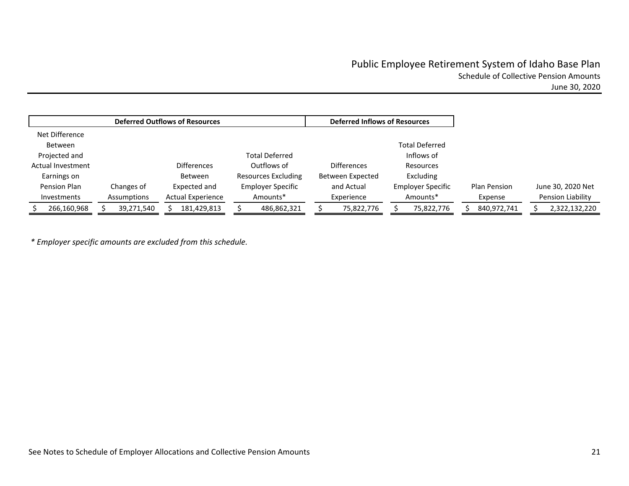# Public Employee Retirement System of Idaho Base Plan Schedule of Collective Pension Amounts June 30, 2020

Net Difference Between Projected and Actual Investment Earnings on Pension Plan InvestmentsChanges of Assumptions Differences Between Expected and Actual Experience Total Deferred Outflows of Resources Excluding Employer Specific Amounts\***Differences** Between Expected and Actual Experience Total Deferred Inflows of Resources Excluding Employer Specific Amounts\*Plan Pension Expense June 30, 2020 Net Pension Liability \$ 266,160,968 \$ 39,271,540 \$ 181,429,813 \$ 486,862,321 \$ 75,822,776 \$ 75,822,776 \$ 840,972,741 \$ 2,322,132,220 **Deferred Outflows of Resources Deferred Inflows of Resources**

*\* Employer specific amounts are excluded from this schedule.*

See Notes to Schedule of Employer Allocations and Collective Pension Amounts **21** 21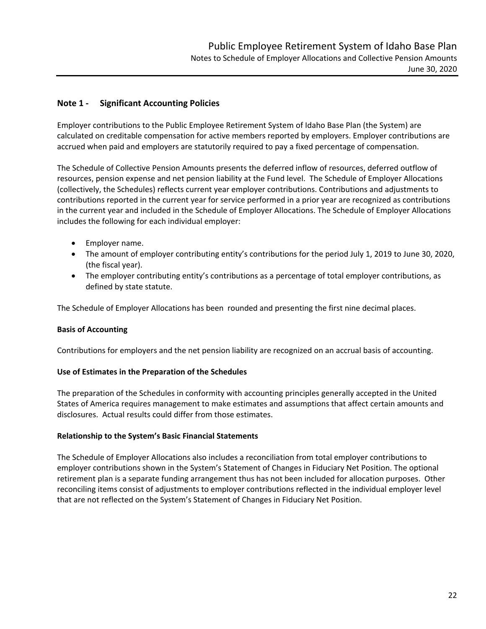# **Note 1 ‐ Significant Accounting Policies**

Employer contributions to the Public Employee Retirement System of Idaho Base Plan (the System) are calculated on creditable compensation for active members reported by employers. Employer contributions are accrued when paid and employers are statutorily required to pay a fixed percentage of compensation.

The Schedule of Collective Pension Amounts presents the deferred inflow of resources, deferred outflow of resources, pension expense and net pension liability at the Fund level. The Schedule of Employer Allocations (collectively, the Schedules) reflects current year employer contributions. Contributions and adjustments to contributions reported in the current year for service performed in a prior year are recognized as contributions in the current year and included in the Schedule of Employer Allocations. The Schedule of Employer Allocations includes the following for each individual employer:

- Employer name.
- The amount of employer contributing entity's contributions for the period July 1, 2019 to June 30, 2020, (the fiscal year).
- The employer contributing entity's contributions as a percentage of total employer contributions, as defined by state statute.

The Schedule of Employer Allocations has been rounded and presenting the first nine decimal places.

# **Basis of Accounting**

Contributions for employers and the net pension liability are recognized on an accrual basis of accounting.

# **Use of Estimates in the Preparation of the Schedules**

The preparation of the Schedules in conformity with accounting principles generally accepted in the United States of America requires management to make estimates and assumptions that affect certain amounts and disclosures. Actual results could differ from those estimates.

# **Relationship to the System's Basic Financial Statements**

The Schedule of Employer Allocations also includes a reconciliation from total employer contributions to employer contributions shown in the System's Statement of Changes in Fiduciary Net Position. The optional retirement plan is a separate funding arrangement thus has not been included for allocation purposes. Other reconciling items consist of adjustments to employer contributions reflected in the individual employer level that are not reflected on the System's Statement of Changes in Fiduciary Net Position.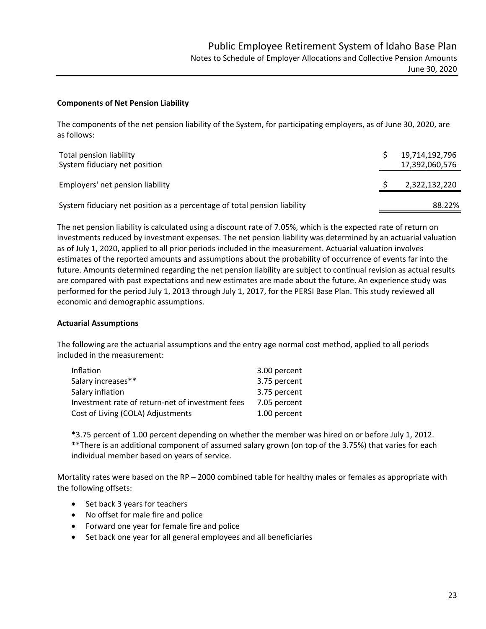### **Components of Net Pension Liability**

The components of the net pension liability of the System, for participating employers, as of June 30, 2020, are as follows:

| Total pension liability<br>System fiduciary net position                 | 19,714,192,796<br>17,392,060,576 |
|--------------------------------------------------------------------------|----------------------------------|
| Employers' net pension liability                                         | 2,322,132,220                    |
| System fiduciary net position as a percentage of total pension liability | 88.22%                           |

The net pension liability is calculated using a discount rate of 7.05%, which is the expected rate of return on investments reduced by investment expenses. The net pension liability was determined by an actuarial valuation as of July 1, 2020, applied to all prior periods included in the measurement. Actuarial valuation involves estimates of the reported amounts and assumptions about the probability of occurrence of events far into the future. Amounts determined regarding the net pension liability are subject to continual revision as actual results are compared with past expectations and new estimates are made about the future. An experience study was performed for the period July 1, 2013 through July 1, 2017, for the PERSI Base Plan. This study reviewed all economic and demographic assumptions.

#### **Actuarial Assumptions**

The following are the actuarial assumptions and the entry age normal cost method, applied to all periods included in the measurement:

| Inflation                                        | 3.00 percent |
|--------------------------------------------------|--------------|
| Salary increases**                               | 3.75 percent |
| Salary inflation                                 | 3.75 percent |
| Investment rate of return-net of investment fees | 7.05 percent |
| Cost of Living (COLA) Adjustments                | 1.00 percent |

\*3.75 percent of 1.00 percent depending on whether the member was hired on or before July 1, 2012. \*\*There is an additional component of assumed salary grown (on top of the 3.75%) that varies for each individual member based on years of service.

Mortality rates were based on the RP – 2000 combined table for healthy males or females as appropriate with the following offsets:

- Set back 3 years for teachers
- No offset for male fire and police
- Forward one year for female fire and police
- Set back one year for all general employees and all beneficiaries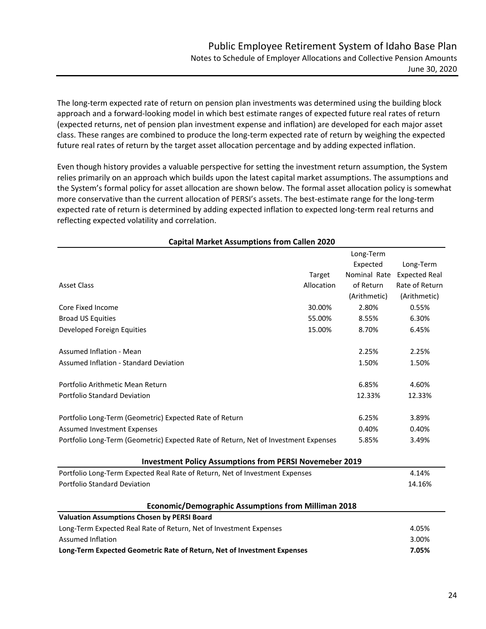The long‐term expected rate of return on pension plan investments was determined using the building block approach and a forward-looking model in which best estimate ranges of expected future real rates of return (expected returns, net of pension plan investment expense and inflation) are developed for each major asset class. These ranges are combined to produce the long-term expected rate of return by weighing the expected future real rates of return by the target asset allocation percentage and by adding expected inflation.

Even though history provides a valuable perspective for setting the investment return assumption, the System relies primarily on an approach which builds upon the latest capital market assumptions. The assumptions and the System's formal policy for asset allocation are shown below. The formal asset allocation policy is somewhat more conservative than the current allocation of PERSI's assets. The best-estimate range for the long-term expected rate of return is determined by adding expected inflation to expected long-term real returns and reflecting expected volatility and correlation.

|                                                                                     |            | Long-Term    |                      |
|-------------------------------------------------------------------------------------|------------|--------------|----------------------|
|                                                                                     |            | Expected     | Long-Term            |
|                                                                                     | Target     | Nominal Rate | <b>Expected Real</b> |
| <b>Asset Class</b>                                                                  | Allocation | of Return    | Rate of Return       |
|                                                                                     |            | (Arithmetic) | (Arithmetic)         |
| Core Fixed Income                                                                   | 30.00%     | 2.80%        | 0.55%                |
| <b>Broad US Equities</b>                                                            | 55.00%     | 8.55%        | 6.30%                |
| Developed Foreign Equities                                                          | 15.00%     | 8.70%        | 6.45%                |
| Assumed Inflation - Mean                                                            |            | 2.25%        | 2.25%                |
| <b>Assumed Inflation - Standard Deviation</b>                                       |            | 1.50%        | 1.50%                |
| Portfolio Arithmetic Mean Return                                                    |            | 6.85%        | 4.60%                |
| Portfolio Standard Deviation                                                        |            | 12.33%       | 12.33%               |
| Portfolio Long-Term (Geometric) Expected Rate of Return                             |            | 6.25%        | 3.89%                |
| <b>Assumed Investment Expenses</b>                                                  |            | 0.40%        | 0.40%                |
| Portfolio Long-Term (Geometric) Expected Rate of Return, Net of Investment Expenses |            | 5.85%        | 3.49%                |
| <b>Investment Policy Assumptions from PERSI Novemeber 2019</b>                      |            |              |                      |
| Portfolio Long-Term Expected Real Rate of Return, Net of Investment Expenses        |            |              | 4.14%                |
| <b>Portfolio Standard Deviation</b>                                                 |            |              | 14.16%               |
| <b>Economic/Demographic Assumptions from Milliman 2018</b>                          |            |              |                      |
| <b>Valuation Assumptions Chosen by PERSI Board</b>                                  |            |              |                      |
| Long-Term Expected Real Rate of Return, Net of Investment Expenses                  |            |              | 4.05%                |
| <b>Assumed Inflation</b>                                                            |            |              | 3.00%                |
| Long-Term Expected Geometric Rate of Return, Net of Investment Expenses             |            |              | 7.05%                |

# **Capital Market Assumptions from Callen 2020**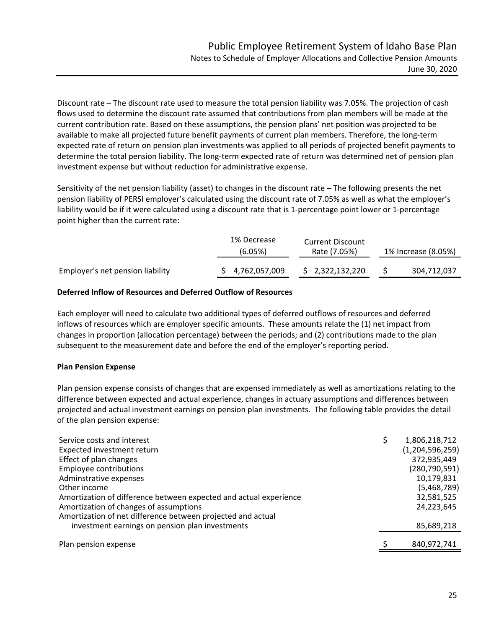Discount rate – The discount rate used to measure the total pension liability was 7.05%. The projection of cash flows used to determine the discount rate assumed that contributions from plan members will be made at the current contribution rate. Based on these assumptions, the pension plans' net position was projected to be available to make all projected future benefit payments of current plan members. Therefore, the long-term expected rate of return on pension plan investments was applied to all periods of projected benefit payments to determine the total pension liability. The long-term expected rate of return was determined net of pension plan investment expense but without reduction for administrative expense.

Sensitivity of the net pension liability (asset) to changes in the discount rate – The following presents the net pension liability of PERSI employer's calculated using the discount rate of 7.05% as well as what the employer's liability would be if it were calculated using a discount rate that is 1‐percentage point lower or 1‐percentage point higher than the current rate:

|                                  | 1% Decrease<br>(6.05%) | <b>Current Discount</b><br>Rate (7.05%) | 1% Increase (8.05%) |  |
|----------------------------------|------------------------|-----------------------------------------|---------------------|--|
| Employer's net pension liability | 4,762,057,009          | \$2,322,132,220                         | 304,712,037         |  |

# **Deferred Inflow of Resources and Deferred Outflow of Resources**

Each employer will need to calculate two additional types of deferred outflows of resources and deferred inflows of resources which are employer specific amounts. These amounts relate the (1) net impact from changes in proportion (allocation percentage) between the periods; and (2) contributions made to the plan subsequent to the measurement date and before the end of the employer's reporting period.

# **Plan Pension Expense**

Plan pension expense consists of changes that are expensed immediately as well as amortizations relating to the difference between expected and actual experience, changes in actuary assumptions and differences between projected and actual investment earnings on pension plan investments. The following table provides the detail of the plan pension expense:

| Service costs and interest                                        | 1,806,218,712      |
|-------------------------------------------------------------------|--------------------|
| Expected investment return                                        | (1, 204, 596, 259) |
| Effect of plan changes                                            | 372,935,449        |
| <b>Employee contributions</b>                                     | (280, 790, 591)    |
| Adminstrative expenses                                            | 10,179,831         |
| Other income                                                      | (5,468,789)        |
| Amortization of difference between expected and actual experience | 32,581,525         |
| Amortization of changes of assumptions                            | 24,223,645         |
| Amortization of net difference between projected and actual       |                    |
| investment earnings on pension plan investments                   | 85,689,218         |
|                                                                   |                    |
| Plan pension expense                                              | 840,972,741        |